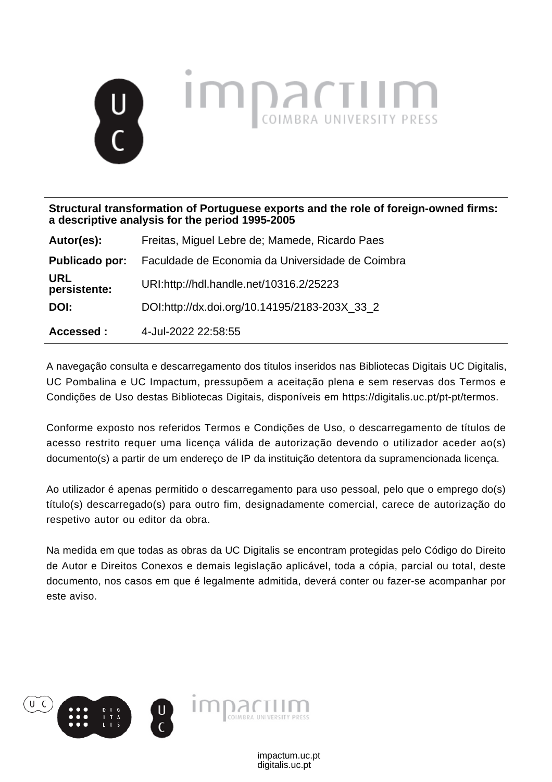

**Structural transformation of Portuguese exports and the role of foreign-owned firms: a descriptive analysis for the period 1995-2005**

| Autor(es):                 | Freitas, Miguel Lebre de; Mamede, Ricardo Paes   |
|----------------------------|--------------------------------------------------|
| Publicado por:             | Faculdade de Economia da Universidade de Coimbra |
| <b>URL</b><br>persistente: | URI:http://hdl.handle.net/10316.2/25223          |
| DOI:                       | DOI:http://dx.doi.org/10.14195/2183-203X 33 2    |
| Accessed :                 | 4-Jul-2022 22:58:55                              |

A navegação consulta e descarregamento dos títulos inseridos nas Bibliotecas Digitais UC Digitalis, UC Pombalina e UC Impactum, pressupõem a aceitação plena e sem reservas dos Termos e Condições de Uso destas Bibliotecas Digitais, disponíveis em https://digitalis.uc.pt/pt-pt/termos.

Conforme exposto nos referidos Termos e Condições de Uso, o descarregamento de títulos de acesso restrito requer uma licença válida de autorização devendo o utilizador aceder ao(s) documento(s) a partir de um endereço de IP da instituição detentora da supramencionada licença.

Ao utilizador é apenas permitido o descarregamento para uso pessoal, pelo que o emprego do(s) título(s) descarregado(s) para outro fim, designadamente comercial, carece de autorização do respetivo autor ou editor da obra.

Na medida em que todas as obras da UC Digitalis se encontram protegidas pelo Código do Direito de Autor e Direitos Conexos e demais legislação aplicável, toda a cópia, parcial ou total, deste documento, nos casos em que é legalmente admitida, deverá conter ou fazer-se acompanhar por este aviso.

> digitalis.uc.pt impactum.uc.pt

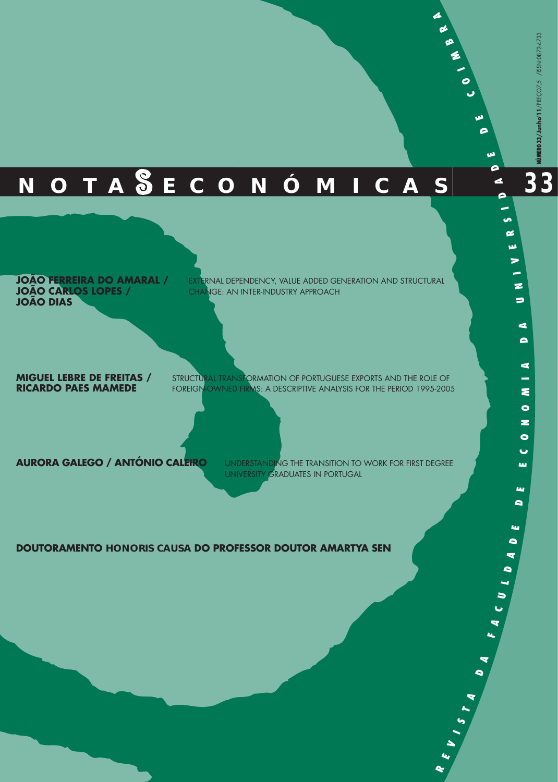**33**

# **N O T A E C O N Ó M I C A S**

**JOÃO FERREIRA DO AMARAL / JOÃO CARLOS LOPES / JOÃO DIAS**

**EXTERNAL DEPENDENCY, VALUE ADDED GENERATION AND STRUCTURAL** CHANGE: AN INTER-INDUSTRY APPROACH

**MIGUEL LEBRE DE FREITAS / RICARDO PAES MAMEDE**

STRUCTURAL TRANSFORMATION OF PORTUGUESE EXPORTS AND THE ROLE OF FOREIGN-OWNED FIRMS: A DESCRIPTIVE ANALYSIS FOR THE PERIOD 1995-2005

**AURORA GALEGO / ANTÓNIO CALEIRO**

UNDERSTANDING THE TRANSITION TO WORK FOR FIRST DEGREE UNIVERSITY GRADUATES IN PORTUGAL

> **RE**

**V I S**

 $\blacktriangle$ **A**

 $\bullet$ **A**

**FA C U L**  $\blacksquare$ **AD**

**E D E E C O**

**Lu** 

щ  $\bullet$ 

**NO**

 $\bullet$  $\bullet$ ia.

**M I A**

**D A**

 $\Rightarrow$ 

**N I V E R**

**S I D**

**A D این** 

**D E**

**C**

**O I M**

**B R A**

#### **DOUTORAMENTO HONORIS CAUSA DO PROFESSOR DOUTOR AMARTYA SEN**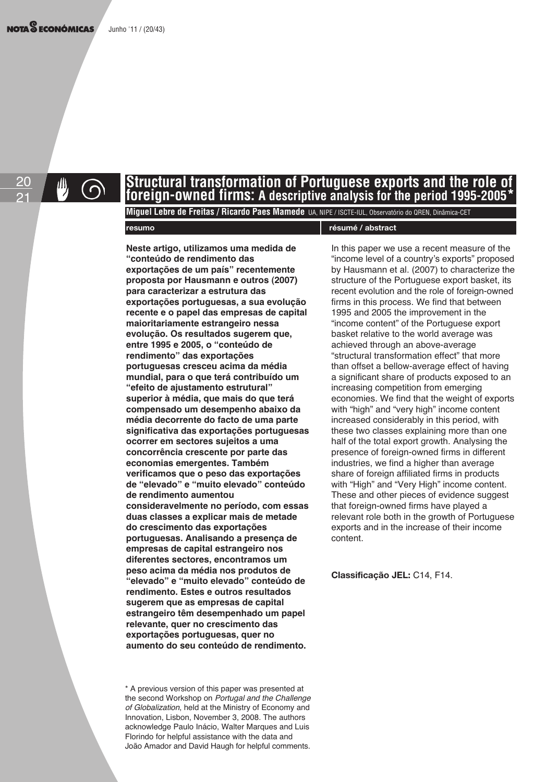20 21

#### **Structural transformation of Portuguese exports and the role of foreign-owned firms: A descriptive analysis for the period 1995-2005\***

**Miguel Lebre de Freitas / Ricardo Paes Mamede** UA, NIPE / ISCTE-IUL, Observatório do QREN, Dinâmica-CET

#### **resumo résumé / abstract**

**Neste artigo, utilizamos uma medida de "conteúdo de rendimento das exportações de um país" recentemente proposta por Hausmann e outros (2007) para caracterizar a estrutura das exportações portuguesas, a sua evolução recente e o papel das empresas de capital maioritariamente estrangeiro nessa evolução. Os resultados sugerem que, entre 1995 e 2005, o "conteúdo de rendimento" das exportações portuguesas cresceu acima da média mundial, para o que terá contribuído um "efeito de ajustamento estrutural" superior à média, que mais do que terá compensado um desempenho abaixo da média decorrente do facto de uma parte significativa das exportações portuguesas ocorrer em sectores sujeitos a uma concorrência crescente por parte das economias emergentes. Também verificamos que o peso das exportações de "elevado" e "muito elevado" conteúdo de rendimento aumentou consideravelmente no período, com essas duas classes a explicar mais de metade do crescimento das exportações portuguesas. Analisando a presença de empresas de capital estrangeiro nos diferentes sectores, encontramos um peso acima da média nos produtos de "elevado" e "muito elevado" conteúdo de rendimento. Estes e outros resultados sugerem que as empresas de capital estrangeiro têm desempenhado um papel relevante, quer no crescimento das exportações portuguesas, quer no aumento do seu conteúdo de rendimento.** 

\* A previous version of this paper was presented at the second Workshop on Portugal and the Challenge of Globalization, held at the Ministry of Economy and Innovation, Lisbon, November 3, 2008. The authors acknowledge Paulo Inácio, Walter Marques and Luis Florindo for helpful assistance with the data and João Amador and David Haugh for helpful comments.

In this paper we use a recent measure of the "income level of a country's exports" proposed by Hausmann et al. (2007) to characterize the structure of the Portuguese export basket, its recent evolution and the role of foreign-owned firms in this process. We find that between 1995 and 2005 the improvement in the "income content" of the Portuguese export basket relative to the world average was achieved through an above-average "structural transformation effect" that more than offset a bellow-average effect of having a significant share of products exposed to an increasing competition from emerging economies. We find that the weight of exports with "high" and "very high" income content increased considerably in this period, with these two classes explaining more than one half of the total export growth. Analysing the presence of foreign-owned firms in different industries, we find a higher than average share of foreign affiliated firms in products with "High" and "Very High" income content. These and other pieces of evidence suggest that foreign-owned firms have played a relevant role both in the growth of Portuguese exports and in the increase of their income content.

**Classificação JEL:** C14, F14.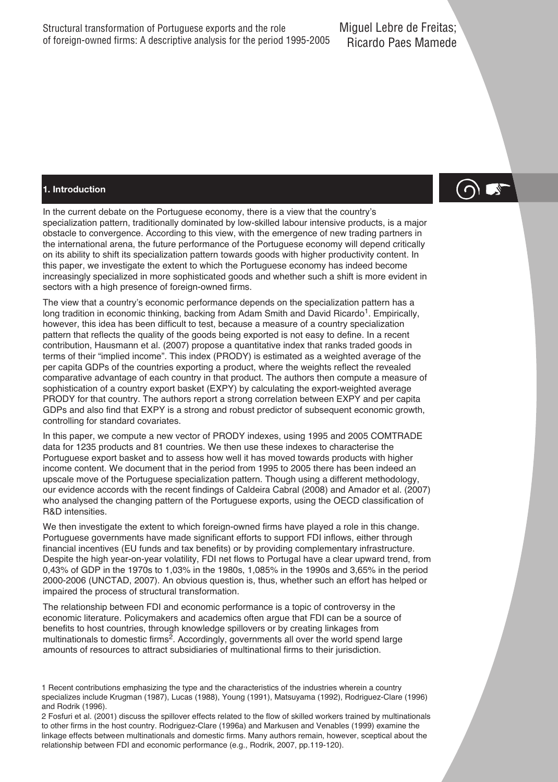#### **1. Introduction**

In the current debate on the Portuguese economy, there is a view that the country's specialization pattern, traditionally dominated by low-skilled labour intensive products, is a major obstacle to convergence. According to this view, with the emergence of new trading partners in the international arena, the future performance of the Portuguese economy will depend critically on its ability to shift its specialization pattern towards goods with higher productivity content. In this paper, we investigate the extent to which the Portuguese economy has indeed become increasingly specialized in more sophisticated goods and whether such a shift is more evident in sectors with a high presence of foreign-owned firms.

The view that a country's economic performance depends on the specialization pattern has a long tradition in economic thinking, backing from Adam Smith and David Ricardo<sup>1</sup>. Empirically, however, this idea has been difficult to test, because a measure of a country specialization pattern that reflects the quality of the goods being exported is not easy to define. In a recent contribution, Hausmann et al. (2007) propose a quantitative index that ranks traded goods in terms of their "implied income". This index (PRODY) is estimated as a weighted average of the per capita GDPs of the countries exporting a product, where the weights reflect the revealed comparative advantage of each country in that product. The authors then compute a measure of sophistication of a country export basket (EXPY) by calculating the export-weighted average PRODY for that country. The authors report a strong correlation between EXPY and per capita GDPs and also find that EXPY is a strong and robust predictor of subsequent economic growth, controlling for standard covariates.

In this paper, we compute a new vector of PRODY indexes, using 1995 and 2005 COMTRADE data for 1235 products and 81 countries. We then use these indexes to characterise the Portuguese export basket and to assess how well it has moved towards products with higher income content. We document that in the period from 1995 to 2005 there has been indeed an upscale move of the Portuguese specialization pattern. Though using a different methodology, our evidence accords with the recent findings of Caldeira Cabral (2008) and Amador et al. (2007) who analysed the changing pattern of the Portuguese exports, using the OECD classification of R&D intensities.

We then investigate the extent to which foreign-owned firms have played a role in this change. Portuguese governments have made significant efforts to support FDI inflows, either through financial incentives (EU funds and tax benefits) or by providing complementary infrastructure. Despite the high year-on-year volatility, FDI net flows to Portugal have a clear upward trend, from 0,43% of GDP in the 1970s to 1,03% in the 1980s, 1,085% in the 1990s and 3,65% in the period 2000-2006 (UNCTAD, 2007). An obvious question is, thus, whether such an effort has helped or impaired the process of structural transformation.

The relationship between FDI and economic performance is a topic of controversy in the economic literature. Policymakers and academics often argue that FDI can be a source of benefits to host countries, through knowledge spillovers or by creating linkages from multinationals to domestic firms $^2$ . Accordingly, governments all over the world spend large amounts of resources to attract subsidiaries of multinational firms to their jurisdiction.

<sup>1</sup> Recent contributions emphasizing the type and the characteristics of the industries wherein a country specializes include Krugman (1987), Lucas (1988), Young (1991), Matsuyama (1992), Rodriguez-Clare (1996) and Rodrik (1996).

<sup>2</sup> Fosfuri et al. (2001) discuss the spillover effects related to the flow of skilled workers trained by multinationals to other firms in the host country. Rodriguez-Clare (1996a) and Markusen and Venables (1999) examine the linkage effects between multinationals and domestic firms. Many authors remain, however, sceptical about the relationship between FDI and economic performance (e.g., Rodrik, 2007, pp.119-120).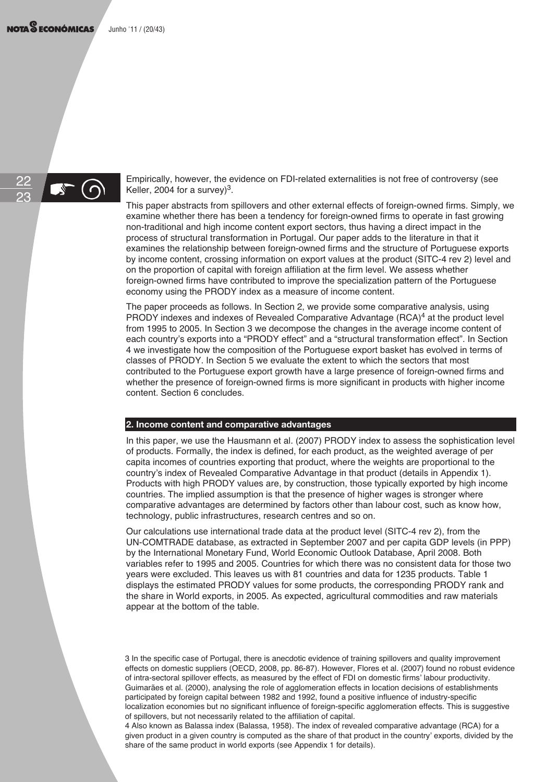

Empirically, however, the evidence on FDI-related externalities is not free of controversy (see Keller, 2004 for a survey) $3$ .

This paper abstracts from spillovers and other external effects of foreign-owned firms. Simply, we examine whether there has been a tendency for foreign-owned firms to operate in fast growing non-traditional and high income content export sectors, thus having a direct impact in the process of structural transformation in Portugal. Our paper adds to the literature in that it examines the relationship between foreign-owned firms and the structure of Portuguese exports by income content, crossing information on export values at the product (SITC-4 rev 2) level and on the proportion of capital with foreign affiliation at the firm level. We assess whether foreign-owned firms have contributed to improve the specialization pattern of the Portuguese economy using the PRODY index as a measure of income content.

The paper proceeds as follows. In Section 2, we provide some comparative analysis, using PRODY indexes and indexes of Revealed Comparative Advantage  $(RCA)<sup>4</sup>$  at the product level from 1995 to 2005. In Section 3 we decompose the changes in the average income content of each country's exports into a "PRODY effect" and a "structural transformation effect". In Section 4 we investigate how the composition of the Portuguese export basket has evolved in terms of classes of PRODY. In Section 5 we evaluate the extent to which the sectors that most contributed to the Portuguese export growth have a large presence of foreign-owned firms and whether the presence of foreign-owned firms is more significant in products with higher income content. Section 6 concludes.

#### **2. Income content and comparative advantages**

In this paper, we use the Hausmann et al. (2007) PRODY index to assess the sophistication level of products. Formally, the index is defined, for each product, as the weighted average of per capita incomes of countries exporting that product, where the weights are proportional to the country's index of Revealed Comparative Advantage in that product (details in Appendix 1). Products with high PRODY values are, by construction, those typically exported by high income countries. The implied assumption is that the presence of higher wages is stronger where comparative advantages are determined by factors other than labour cost, such as know how, technology, public infrastructures, research centres and so on.

Our calculations use international trade data at the product level (SITC-4 rev 2), from the UN-COMTRADE database, as extracted in September 2007 and per capita GDP levels (in PPP) by the International Monetary Fund, World Economic Outlook Database, April 2008. Both variables refer to 1995 and 2005. Countries for which there was no consistent data for those two years were excluded. This leaves us with 81 countries and data for 1235 products. Table 1 displays the estimated PRODY values for some products, the corresponding PRODY rank and the share in World exports, in 2005. As expected, agricultural commodities and raw materials appear at the bottom of the table.

3 In the specific case of Portugal, there is anecdotic evidence of training spillovers and quality improvement effects on domestic suppliers (OECD, 2008, pp. 86-87). However, Flores et al. (2007) found no robust evidence of intra-sectoral spillover effects, as measured by the effect of FDI on domestic firms' labour productivity. Guimarães et al. (2000), analysing the role of agglomeration effects in location decisions of establishments participated by foreign capital between 1982 and 1992, found a positive influence of industry-specific localization economies but no significant influence of foreign-specific agglomeration effects. This is suggestive of spillovers, but not necessarily related to the affiliation of capital.

4 Also known as Balassa index (Balassa, 1958). The index of revealed comparative advantage (RCA) for a given product in a given country is computed as the share of that product in the country' exports, divided by the share of the same product in world exports (see Appendix 1 for details).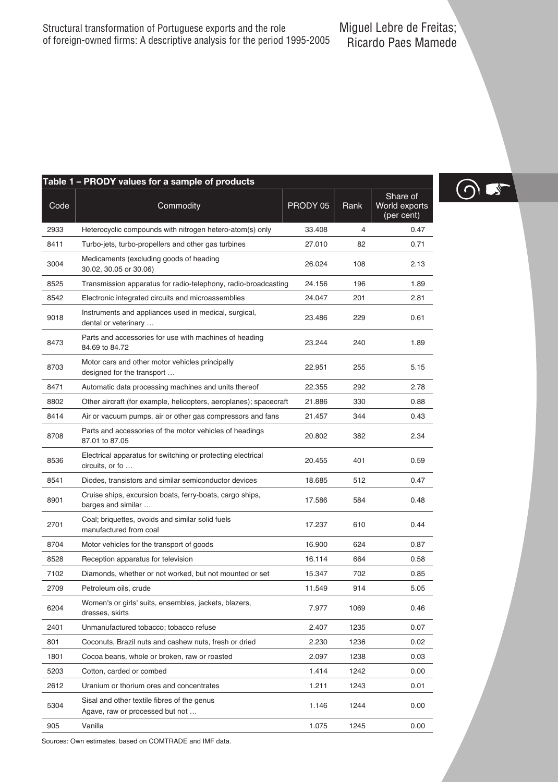|      | Table 1 - PRODY values for a sample of products                                |          |      |                                         |
|------|--------------------------------------------------------------------------------|----------|------|-----------------------------------------|
| Code | Commodity                                                                      | PRODY 05 | Rank | Share of<br>World exports<br>(per cent) |
| 2933 | Heterocyclic compounds with nitrogen hetero-atom(s) only                       | 33.408   | 4    | 0.47                                    |
| 8411 | Turbo-jets, turbo-propellers and other gas turbines                            | 27.010   | 82   | 0.71                                    |
| 3004 | Medicaments (excluding goods of heading<br>30.02, 30.05 or 30.06)              | 26.024   | 108  | 2.13                                    |
| 8525 | Transmission apparatus for radio-telephony, radio-broadcasting                 | 24.156   | 196  | 1.89                                    |
| 8542 | Electronic integrated circuits and microassemblies                             | 24.047   | 201  | 2.81                                    |
| 9018 | Instruments and appliances used in medical, surgical,<br>dental or veterinary  | 23.486   | 229  | 0.61                                    |
| 8473 | Parts and accessories for use with machines of heading<br>84.69 to 84.72       | 23.244   | 240  | 1.89                                    |
| 8703 | Motor cars and other motor vehicles principally<br>designed for the transport  | 22.951   | 255  | 5.15                                    |
| 8471 | Automatic data processing machines and units thereof                           | 22.355   | 292  | 2.78                                    |
| 8802 | Other aircraft (for example, helicopters, aeroplanes); spacecraft              | 21.886   | 330  | 0.88                                    |
| 8414 | Air or vacuum pumps, air or other gas compressors and fans                     | 21.457   | 344  | 0.43                                    |
| 8708 | Parts and accessories of the motor vehicles of headings<br>87.01 to 87.05      | 20.802   | 382  | 2.34                                    |
| 8536 | Electrical apparatus for switching or protecting electrical<br>circuits, or fo | 20.455   | 401  | 0.59                                    |
| 8541 | Diodes, transistors and similar semiconductor devices                          | 18.685   | 512  | 0.47                                    |
| 8901 | Cruise ships, excursion boats, ferry-boats, cargo ships,<br>barges and similar | 17.586   | 584  | 0.48                                    |
| 2701 | Coal; briquettes, ovoids and similar solid fuels<br>manufactured from coal     | 17.237   | 610  | 0.44                                    |
| 8704 | Motor vehicles for the transport of goods                                      | 16.900   | 624  | 0.87                                    |
| 8528 | Reception apparatus for television                                             | 16.114   | 664  | 0.58                                    |
| 7102 | Diamonds, whether or not worked, but not mounted or set                        | 15.347   | 702  | 0.85                                    |
| 2709 | Petroleum oils, crude                                                          | 11.549   | 914  | 5.05                                    |
| 6204 | Women's or girls' suits, ensembles, jackets, blazers,<br>dresses, skirts       | 7.977    | 1069 | 0.46                                    |
| 2401 | Unmanufactured tobacco; tobacco refuse                                         | 2.407    | 1235 | 0.07                                    |
| 801  | Coconuts, Brazil nuts and cashew nuts, fresh or dried                          | 2.230    | 1236 | 0.02                                    |
| 1801 | Cocoa beans, whole or broken, raw or roasted                                   | 2.097    | 1238 | 0.03                                    |
| 5203 | Cotton, carded or combed                                                       | 1.414    | 1242 | 0.00                                    |
| 2612 | Uranium or thorium ores and concentrates                                       | 1.211    | 1243 | 0.01                                    |
| 5304 | Sisal and other textile fibres of the genus<br>Agave, raw or processed but not | 1.146    | 1244 | 0.00                                    |
|      |                                                                                |          |      |                                         |

905 Vanilla 1.075 1245 0.00

 $\bigcirc$ 

Sources: Own estimates, based on COMTRADE and IMF data.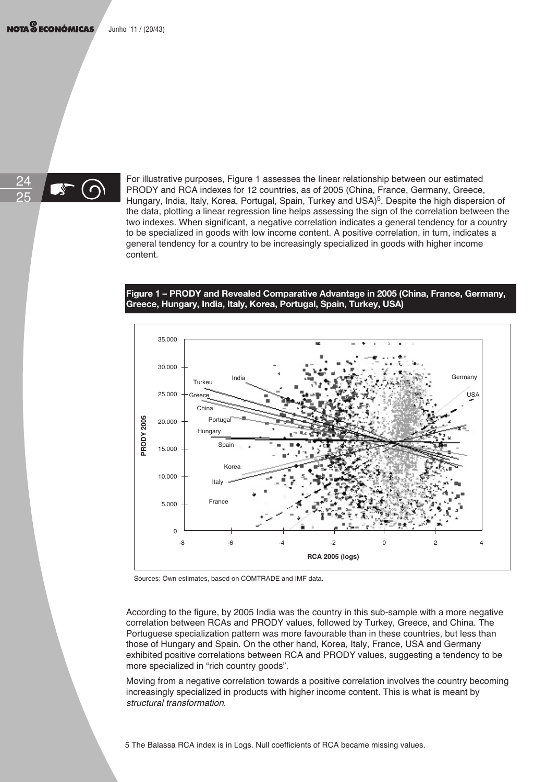

For illustrative purposes, Figure 1 assesses the linear relationship between our estimated PRODY and RCA indexes for 12 countries, as of 2005 (China, France, Germany, Greece, Hungary, India, Italy, Korea, Portugal, Spain, Turkey and USA)<sup>5</sup>. Despite the high dispersion of the data, plotting a linear regression line helps assessing the sign of the correlation between the two indexes. When significant, a negative correlation indicates a general tendency for a country to be specialized in goods with low income content. A positive correlation, in turn, indicates a general tendency for a country to be increasingly specialized in goods with higher income content.

#### **Figure 1 – PRODY and Revealed Comparative Advantage in 2005 (China, France, Germany, Greece, Hungary, India, Italy, Korea, Portugal, Spain, Turkey, USA)**



Sources: Own estimates, based on COMTRADE and IMF data.

According to the figure, by 2005 India was the country in this sub-sample with a more negative correlation between RCAs and PRODY values, followed by Turkey, Greece, and China. The Portuguese specialization pattern was more favourable than in these countries, but less than those of Hungary and Spain. On the other hand, Korea, Italy, France, USA and Germany exhibited positive correlations between RCA and PRODY values, suggesting a tendency to be more specialized in "rich country goods".

Moving from a negative correlation towards a positive correlation involves the country becoming increasingly specialized in products with higher income content. This is what is meant by structural transformation.

5 The Balassa RCA index is in Logs. Null coefficients of RCA became missing values.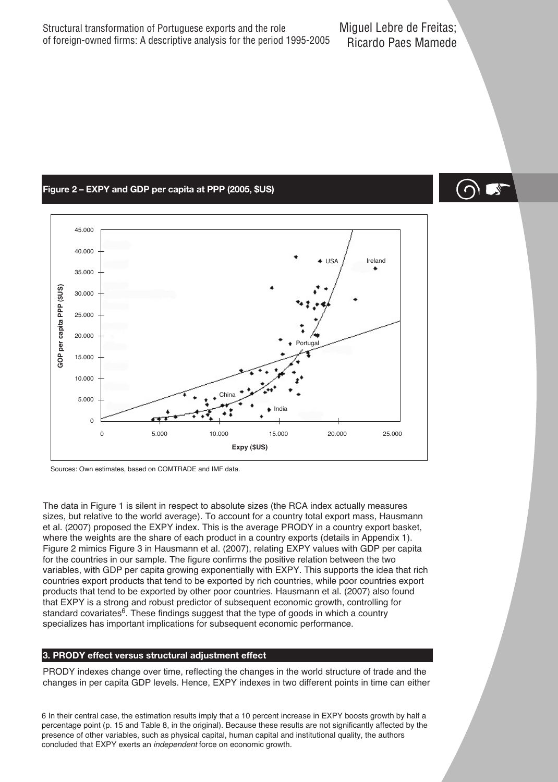#### **Figure 2 – EXPY and GDP per capita at PPP (2005, \$US)**



Sources: Own estimates, based on COMTRADE and IMF data.

The data in Figure 1 is silent in respect to absolute sizes (the RCA index actually measures sizes, but relative to the world average). To account for a country total export mass, Hausmann et al. (2007) proposed the EXPY index. This is the average PRODY in a country export basket, where the weights are the share of each product in a country exports (details in Appendix 1). Figure 2 mimics Figure 3 in Hausmann et al. (2007), relating EXPY values with GDP per capita for the countries in our sample. The figure confirms the positive relation between the two variables, with GDP per capita growing exponentially with EXPY. This supports the idea that rich countries export products that tend to be exported by rich countries, while poor countries export products that tend to be exported by other poor countries. Hausmann et al. (2007) also found that EXPY is a strong and robust predictor of subsequent economic growth, controlling for standard covariates<sup>6</sup>. These findings suggest that the type of goods in which a country specializes has important implications for subsequent economic performance.

#### **3. PRODY effect versus structural adjustment effect**

PRODY indexes change over time, reflecting the changes in the world structure of trade and the changes in per capita GDP levels. Hence, EXPY indexes in two different points in time can either

6 In their central case, the estimation results imply that a 10 percent increase in EXPY boosts growth by half a percentage point (p. 15 and Table 8, in the original). Because these results are not significantly affected by the presence of other variables, such as physical capital, human capital and institutional quality, the authors concluded that EXPY exerts an independent force on economic growth.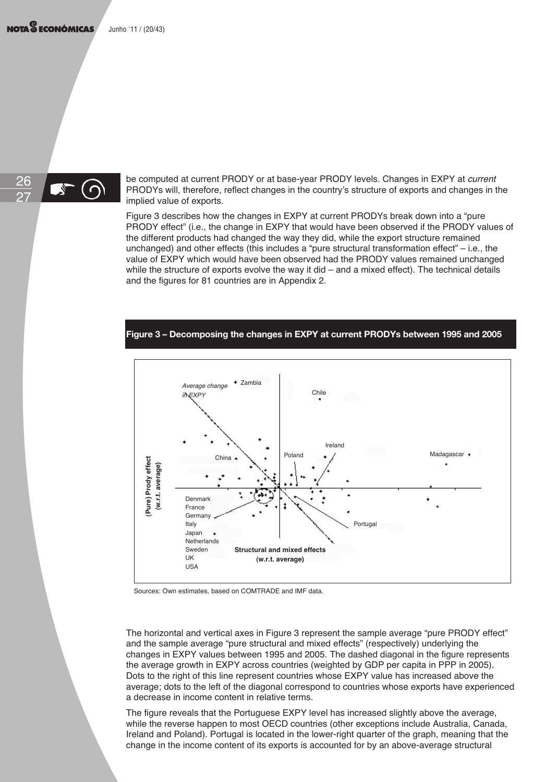NOTA<sup>S</sup> ECONÓMICAS Junho '11 / (20/43)



be computed at current PRODY or at base-year PRODY levels. Changes in EXPY at *current* PRODYs will, therefore, reflect changes in the country's structure of exports and changes in the implied value of exports.

Figure 3 describes how the changes in EXPY at current PRODYs break down into a "pure PRODY effect" (i.e., the change in EXPY that would have been observed if the PRODY values of the different products had changed the way they did, while the export structure remained unchanged) and other effects (this includes a "pure structural transformation effect" – i.e., the value of EXPY which would have been observed had the PRODY values remained unchanged while the structure of exports evolve the way it did – and a mixed effect). The technical details and the figures for 81 countries are in Appendix 2.

#### **Figure 3 – Decomposing the changes in EXPY at current PRODYs between 1995 and 2005**



Sources: Own estimates, based on COMTRADE and IMF data.

The horizontal and vertical axes in Figure 3 represent the sample average "pure PRODY effect" and the sample average "pure structural and mixed effects" (respectively) underlying the changes in EXPY values between 1995 and 2005. The dashed diagonal in the figure represents the average growth in EXPY across countries (weighted by GDP per capita in PPP in 2005). Dots to the right of this line represent countries whose EXPY value has increased above the average; dots to the left of the diagonal correspond to countries whose exports have experienced a decrease in income content in relative terms.

The figure reveals that the Portuguese EXPY level has increased slightly above the average, while the reverse happen to most OECD countries (other exceptions include Australia, Canada, Ireland and Poland). Portugal is located in the lower-right quarter of the graph, meaning that the change in the income content of its exports is accounted for by an above-average structural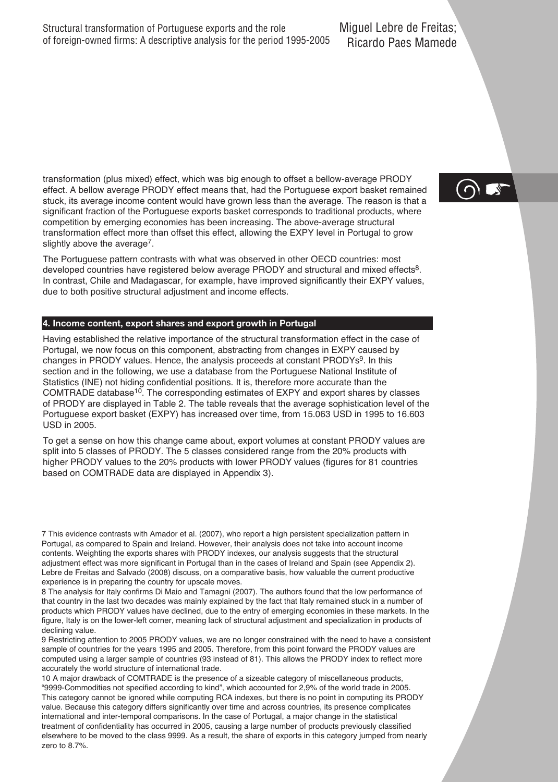transformation (plus mixed) effect, which was big enough to offset a bellow-average PRODY effect. A bellow average PRODY effect means that, had the Portuguese export basket remained stuck, its average income content would have grown less than the average. The reason is that a significant fraction of the Portuguese exports basket corresponds to traditional products, where competition by emerging economies has been increasing. The above-average structural transformation effect more than offset this effect, allowing the EXPY level in Portugal to grow slightly above the average<sup>7</sup>.

The Portuguese pattern contrasts with what was observed in other OECD countries: most developed countries have registered below average PRODY and structural and mixed effects<sup>8</sup>. In contrast, Chile and Madagascar, for example, have improved significantly their EXPY values, due to both positive structural adjustment and income effects.

#### **4. Income content, export shares and export growth in Portugal**

Having established the relative importance of the structural transformation effect in the case of Portugal, we now focus on this component, abstracting from changes in EXPY caused by changes in PRODY values. Hence, the analysis proceeds at constant PRODYs<sup>9</sup>. In this section and in the following, we use a database from the Portuguese National Institute of Statistics (INE) not hiding confidential positions. It is, therefore more accurate than the COMTRADE database<sup>10</sup>. The corresponding estimates of EXPY and export shares by classes of PRODY are displayed in Table 2. The table reveals that the average sophistication level of the Portuguese export basket (EXPY) has increased over time, from 15.063 USD in 1995 to 16.603 USD in 2005.

To get a sense on how this change came about, export volumes at constant PRODY values are split into 5 classes of PRODY. The 5 classes considered range from the 20% products with higher PRODY values to the 20% products with lower PRODY values (figures for 81 countries based on COMTRADE data are displayed in Appendix 3).

7 This evidence contrasts with Amador et al. (2007), who report a high persistent specialization pattern in Portugal, as compared to Spain and Ireland. However, their analysis does not take into account income contents. Weighting the exports shares with PRODY indexes, our analysis suggests that the structural adjustment effect was more significant in Portugal than in the cases of Ireland and Spain (see Appendix 2). Lebre de Freitas and Salvado (2008) discuss, on a comparative basis, how valuable the current productive experience is in preparing the country for upscale moves.

8 The analysis for Italy confirms Di Maio and Tamagni (2007). The authors found that the low performance of that country in the last two decades was mainly explained by the fact that Italy remained stuck in a number of products which PRODY values have declined, due to the entry of emerging economies in these markets. In the figure, Italy is on the lower-left corner, meaning lack of structural adjustment and specialization in products of declining value.

9 Restricting attention to 2005 PRODY values, we are no longer constrained with the need to have a consistent sample of countries for the years 1995 and 2005. Therefore, from this point forward the PRODY values are computed using a larger sample of countries (93 instead of 81). This allows the PRODY index to reflect more accurately the world structure of international trade.

10 A major drawback of COMTRADE is the presence of a sizeable category of miscellaneous products, "9999-Commodities not specified according to kind", which accounted for 2,9% of the world trade in 2005. This category cannot be ignored while computing RCA indexes, but there is no point in computing its PRODY value. Because this category differs significantly over time and across countries, its presence complicates international and inter-temporal comparisons. In the case of Portugal, a major change in the statistical treatment of confidentiality has occurred in 2005, causing a large number of products previously classified elsewhere to be moved to the class 9999. As a result, the share of exports in this category jumped from nearly zero to 8.7%.

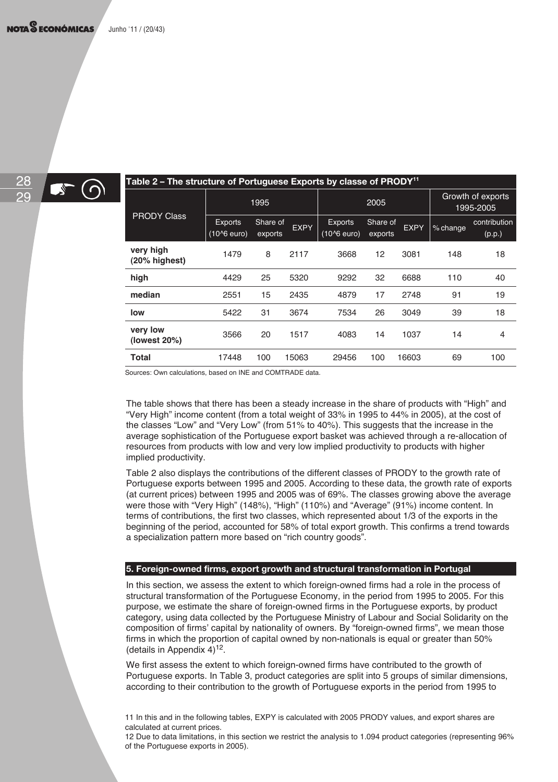

 $\mathbb{R}$  (c

| Table 2 – The structure of Portuguese Exports by classe of PRODY <sup>11</sup> |                                            |                     |             |                                 |                     |             |          |                                |
|--------------------------------------------------------------------------------|--------------------------------------------|---------------------|-------------|---------------------------------|---------------------|-------------|----------|--------------------------------|
|                                                                                |                                            | 1995                |             |                                 | 2005                |             |          | Growth of exports<br>1995-2005 |
| <b>PRODY Class</b>                                                             | <b>Exports</b><br>(10 <sup>^</sup> 6 euro) | Share of<br>exports | <b>EXPY</b> | <b>Exports</b><br>$(10^6$ euro) | Share of<br>exports | <b>EXPY</b> | % change | contribution<br>(p.p.)         |
| very high<br>$(20%$ highest)                                                   | 1479                                       | 8                   | 2117        | 3668                            | 12                  | 3081        | 148      | 18                             |
| high                                                                           | 4429                                       | 25                  | 5320        | 9292                            | 32                  | 6688        | 110      | 40                             |
| median                                                                         | 2551                                       | 15                  | 2435        | 4879                            | 17                  | 2748        | 91       | 19                             |
| low                                                                            | 5422                                       | 31                  | 3674        | 7534                            | 26                  | 3049        | 39       | 18                             |
| very low<br>(lowest 20%)                                                       | 3566                                       | 20                  | 1517        | 4083                            | 14                  | 1037        | 14       | $\overline{4}$                 |
| Total                                                                          | 17448                                      | 100                 | 15063       | 29456                           | 100                 | 16603       | 69       | 100                            |

Sources: Own calculations, based on INE and COMTRADE data.

The table shows that there has been a steady increase in the share of products with "High" and "Very High" income content (from a total weight of 33% in 1995 to 44% in 2005), at the cost of the classes "Low" and "Very Low" (from 51% to 40%). This suggests that the increase in the average sophistication of the Portuguese export basket was achieved through a re-allocation of resources from products with low and very low implied productivity to products with higher implied productivity.

Table 2 also displays the contributions of the different classes of PRODY to the growth rate of Portuguese exports between 1995 and 2005. According to these data, the growth rate of exports (at current prices) between 1995 and 2005 was of 69%. The classes growing above the average were those with "Very High" (148%), "High" (110%) and "Average" (91%) income content. In terms of contributions, the first two classes, which represented about 1/3 of the exports in the beginning of the period, accounted for 58% of total export growth. This confirms a trend towards a specialization pattern more based on "rich country goods".

#### **5. Foreign-owned firms, export growth and structural transformation in Portugal**

In this section, we assess the extent to which foreign-owned firms had a role in the process of structural transformation of the Portuguese Economy, in the period from 1995 to 2005. For this purpose, we estimate the share of foreign-owned firms in the Portuguese exports, by product category, using data collected by the Portuguese Ministry of Labour and Social Solidarity on the composition of firms' capital by nationality of owners. By "foreign-owned firms", we mean those firms in which the proportion of capital owned by non-nationals is equal or greater than 50% (details in Appendix  $4$ )<sup>12</sup>.

We first assess the extent to which foreign-owned firms have contributed to the growth of Portuguese exports. In Table 3, product categories are split into 5 groups of similar dimensions, according to their contribution to the growth of Portuguese exports in the period from 1995 to

11 In this and in the following tables, EXPY is calculated with 2005 PRODY values, and export shares are calculated at current prices.

12 Due to data limitations, in this section we restrict the analysis to 1.094 product categories (representing 96% of the Portuguese exports in 2005).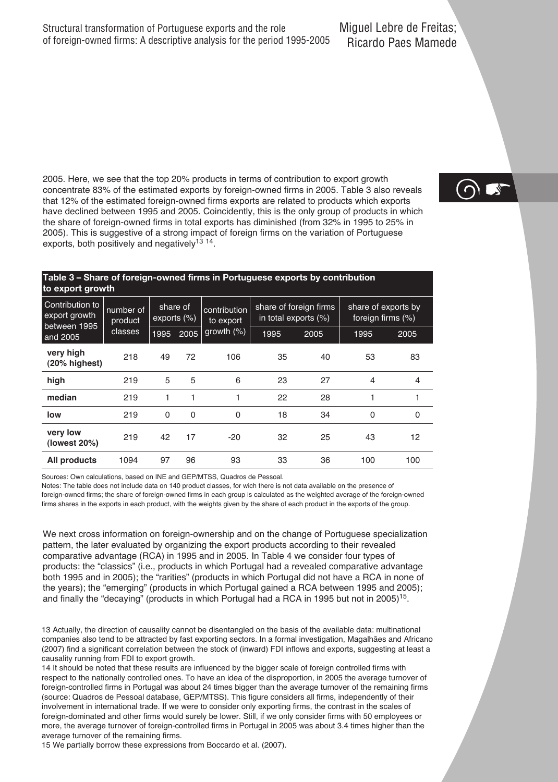2005. Here, we see that the top 20% products in terms of contribution to export growth concentrate 83% of the estimated exports by foreign-owned firms in 2005. Table 3 also reveals that 12% of the estimated foreign-owned firms exports are related to products which exports have declined between 1995 and 2005. Coincidently, this is the only group of products in which the share of foreign-owned firms in total exports has diminished (from 32% in 1995 to 25% in 2005). This is suggestive of a strong impact of foreign firms on the variation of Portuguese exports, both positively and negatively<sup>13</sup> <sup>14</sup>.

#### **Table 3 – Share of foreign-owned firms in Portuguese exports by contribution to export growth**

| Contribution to<br>export growth<br>between 1995 | number of<br>product | share of<br>exports $(\%)$ |      | contribution<br>to export | in total exports (%) | share of foreign firms | share of exports by<br>foreign firms (%) |             |
|--------------------------------------------------|----------------------|----------------------------|------|---------------------------|----------------------|------------------------|------------------------------------------|-------------|
| and 2005                                         | classes              | 1995                       | 2005 | growth $(\%)$             | 1995                 | 2005                   | 1995                                     | 2005        |
| very high<br>(20% highest)                       | 218                  | 49                         | 72   | 106                       | 35                   | 40                     | 53                                       | 83          |
| high                                             | 219                  | 5                          | 5    | 6                         | 23                   | 27                     | 4                                        | 4           |
| median                                           | 219                  |                            |      | 1                         | 22                   | 28                     | 1                                        | 1           |
| low                                              | 219                  | 0                          | 0    | 0                         | 18                   | 34                     | 0                                        | $\mathbf 0$ |
| very low<br>(lowest 20%)                         | 219                  | 42                         | 17   | $-20$                     | 32                   | 25                     | 43                                       | 12          |
| All products                                     | 1094                 | 97                         | 96   | 93                        | 33                   | 36                     | 100                                      | 100         |
|                                                  |                      |                            |      |                           |                      |                        |                                          |             |

Sources: Own calculations, based on INE and GEP/MTSS, Quadros de Pessoal.

Notes: The table does not include data on 140 product classes, for wich there is not data available on the presence of foreign-owned firms; the share of foreign-owned firms in each group is calculated as the weighted average of the foreign-owned firms shares in the exports in each product, with the weights given by the share of each product in the exports of the group.

We next cross information on foreign-ownership and on the change of Portuguese specialization pattern, the later evaluated by organizing the export products according to their revealed comparative advantage (RCA) in 1995 and in 2005. In Table 4 we consider four types of products: the "classics" (i.e., products in which Portugal had a revealed comparative advantage both 1995 and in 2005); the "rarities" (products in which Portugal did not have a RCA in none of the years); the "emerging" (products in which Portugal gained a RCA between 1995 and 2005); and finally the "decaying" (products in which Portugal had a RCA in 1995 but not in 2005)<sup>15</sup>.

13 Actually, the direction of causality cannot be disentangled on the basis of the available data: multinational companies also tend to be attracted by fast exporting sectors. In a formal investigation, Magalhães and Africano (2007) find a significant correlation between the stock of (inward) FDI inflows and exports, suggesting at least a causality running from FDI to export growth.

14 It should be noted that these results are influenced by the bigger scale of foreign controlled firms with respect to the nationally controlled ones. To have an idea of the disproportion, in 2005 the average turnover of foreign-controlled firms in Portugal was about 24 times bigger than the average turnover of the remaining firms (source: Quadros de Pessoal database, GEP/MTSS). This figure considers all firms, independently of their involvement in international trade. If we were to consider only exporting firms, the contrast in the scales of foreign-dominated and other firms would surely be lower. Still, if we only consider firms with 50 employees or more, the average turnover of foreign-controlled firms in Portugal in 2005 was about 3.4 times higher than the average turnover of the remaining firms.

15 We partially borrow these expressions from Boccardo et al. (2007).

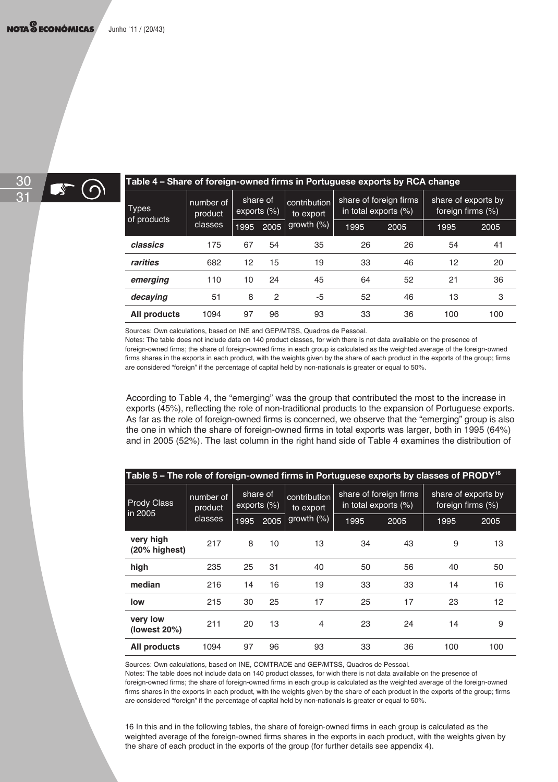( ဂ



#### **Table 4 – Share of foreign-owned firms in Portuguese exports by RCA change**

| <b>Types</b><br>of products | number of<br>product | share of<br>exports $(\%)$ |      | contribution<br>to export | share of foreign firms<br>in total exports (%) |      | share of exports by<br>foreign firms (%) |      |
|-----------------------------|----------------------|----------------------------|------|---------------------------|------------------------------------------------|------|------------------------------------------|------|
|                             | classes              | 1995                       | 2005 | growth $(\%)$             | 1995                                           | 2005 | 1995                                     | 2005 |
| classics                    | 175                  | 67                         | 54   | 35                        | 26                                             | 26   | 54                                       | 41   |
| rarities                    | 682                  | 12                         | 15   | 19                        | 33                                             | 46   | 12                                       | 20   |
| emerging                    | 110                  | 10                         | 24   | 45                        | 64                                             | 52   | 21                                       | 36   |
| decaving                    | 51                   | 8                          | 2    | -5                        | 52                                             | 46   | 13                                       | 3    |
| All products                | 1094                 | 97                         | 96   | 93                        | 33                                             | 36   | 100                                      | 100  |

Sources: Own calculations, based on INE and GEP/MTSS, Quadros de Pessoal.

Notes: The table does not include data on 140 product classes, for wich there is not data available on the presence of foreign-owned firms; the share of foreign-owned firms in each group is calculated as the weighted average of the foreign-owned firms shares in the exports in each product, with the weights given by the share of each product in the exports of the group; firms are considered "foreign" if the percentage of capital held by non-nationals is greater or equal to 50%.

According to Table 4, the "emerging" was the group that contributed the most to the increase in exports (45%), reflecting the role of non-traditional products to the expansion of Portuguese exports. As far as the role of foreign-owned firms is concerned, we observe that the "emerging" group is also the one in which the share of foreign-owned firms in total exports was larger, both in 1995 (64%) and in 2005 (52%). The last column in the right hand side of Table 4 examines the distribution of

| Table 5 – The role of foreign-owned firms in Portuguese exports by classes of PRODY $^{\rm 16}$ |                      |                         |      |                           |                                                |      |                                          |      |
|-------------------------------------------------------------------------------------------------|----------------------|-------------------------|------|---------------------------|------------------------------------------------|------|------------------------------------------|------|
| <b>Prody Class</b><br>in 2005                                                                   | number of<br>product | share of<br>exports (%) |      | contribution<br>to export | share of foreign firms<br>in total exports (%) |      | share of exports by<br>foreign firms (%) |      |
|                                                                                                 | classes              | 1995                    | 2005 | growth $(\%)$             | 1995                                           | 2005 | 1995                                     | 2005 |
| very high<br>(20% highest)                                                                      | 217                  | 8                       | 10   | 13                        | 34                                             | 43   | 9                                        | 13   |
| high                                                                                            | 235                  | 25                      | 31   | 40                        | 50                                             | 56   | 40                                       | 50   |
| median                                                                                          | 216                  | 14                      | 16   | 19                        | 33                                             | 33   | 14                                       | 16   |
| low                                                                                             | 215                  | 30                      | 25   | 17                        | 25                                             | 17   | 23                                       | 12   |
| very low<br>(lowest $20\%)$                                                                     | 211                  | 20                      | 13   | $\overline{4}$            | 23                                             | 24   | 14                                       | 9    |
| All products                                                                                    | 1094                 | 97                      | 96   | 93                        | 33                                             | 36   | 100                                      | 100  |

Sources: Own calculations, based on INE, COMTRADE and GEP/MTSS, Quadros de Pessoal.

Notes: The table does not include data on 140 product classes, for wich there is not data available on the presence of foreign-owned firms; the share of foreign-owned firms in each group is calculated as the weighted average of the foreign-owned firms shares in the exports in each product, with the weights given by the share of each product in the exports of the group; firms are considered "foreign" if the percentage of capital held by non-nationals is greater or equal to 50%.

16 In this and in the following tables, the share of foreign-owned firms in each group is calculated as the weighted average of the foreign-owned firms shares in the exports in each product, with the weights given by the share of each product in the exports of the group (for further details see appendix 4).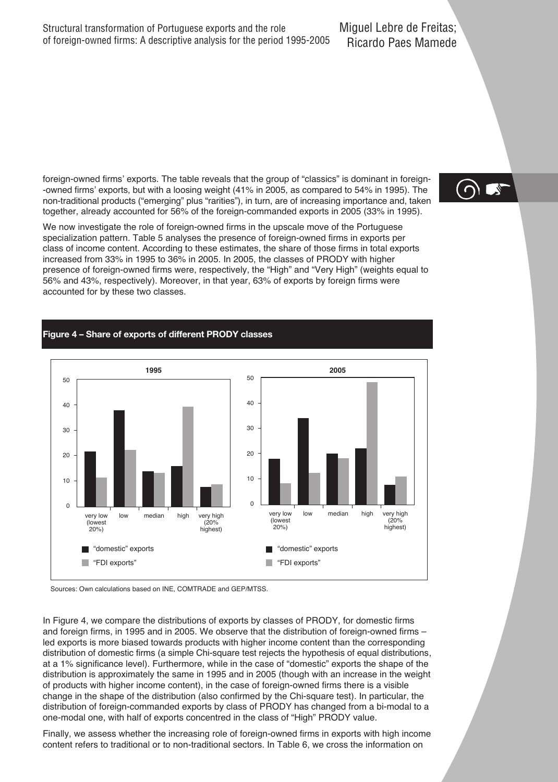foreign-owned firms' exports. The table reveals that the group of "classics" is dominant in foreign- -owned firms' exports, but with a loosing weight (41% in 2005, as compared to 54% in 1995). The non-traditional products ("emerging" plus "rarities"), in turn, are of increasing importance and, taken together, already accounted for 56% of the foreign-commanded exports in 2005 (33% in 1995).

We now investigate the role of foreign-owned firms in the upscale move of the Portuguese specialization pattern. Table 5 analyses the presence of foreign-owned firms in exports per class of income content. According to these estimates, the share of those firms in total exports increased from 33% in 1995 to 36% in 2005. In 2005, the classes of PRODY with higher presence of foreign-owned firms were, respectively, the "High" and "Very High" (weights equal to 56% and 43%, respectively). Moreover, in that year, 63% of exports by foreign firms were accounted for by these two classes.

#### **Figure 4 – Share of exports of different PRODY classes**





In Figure 4, we compare the distributions of exports by classes of PRODY, for domestic firms and foreign firms, in 1995 and in 2005. We observe that the distribution of foreign-owned firms – led exports is more biased towards products with higher income content than the corresponding distribution of domestic firms (a simple Chi-square test rejects the hypothesis of equal distributions, at a 1% significance level). Furthermore, while in the case of "domestic" exports the shape of the distribution is approximately the same in 1995 and in 2005 (though with an increase in the weight of products with higher income content), in the case of foreign-owned firms there is a visible change in the shape of the distribution (also confirmed by the Chi-square test). In particular, the distribution of foreign-commanded exports by class of PRODY has changed from a bi-modal to a one-modal one, with half of exports concentred in the class of "High" PRODY value.

Finally, we assess whether the increasing role of foreign-owned firms in exports with high income content refers to traditional or to non-traditional sectors. In Table 6, we cross the information on

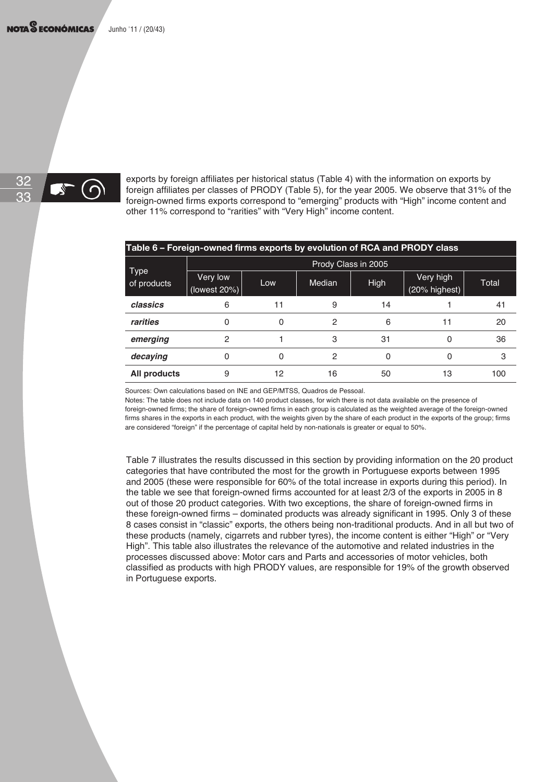

exports by foreign affiliates per historical status (Table 4) with the information on exports by foreign affiliates per classes of PRODY (Table 5), for the year 2005. We observe that 31% of the foreign-owned firms exports correspond to "emerging" products with "High" income content and other 11% correspond to "rarities" with "Very High" income content.

| Table 6 – Foreign-owned firms exports by evolution of RCA and PRODY class |                          |     |        |                     |                            |       |
|---------------------------------------------------------------------------|--------------------------|-----|--------|---------------------|----------------------------|-------|
|                                                                           |                          |     |        | Prody Class in 2005 |                            |       |
| <b>Type</b><br>of products                                                | Very low<br>(lowest 20%) | Low | Median | <b>High</b>         | Very high<br>(20% highest) | Total |
| classics                                                                  | 6                        | 11  | 9      | 14                  |                            | 41    |
| rarities                                                                  | <sup>0</sup>             | O   | 2      | 6                   | 11                         | 20    |
| emerging                                                                  | 2                        |     | 3      | 31                  | 0                          | 36    |
| decaying                                                                  | O                        | 0   | 2      | 0                   |                            | 3     |
| All products                                                              | 9                        | 12  | 16     | 50                  | 13                         | 100   |
|                                                                           |                          |     |        |                     |                            |       |

Sources: Own calculations based on INE and GEP/MTSS, Quadros de Pessoal.

Notes: The table does not include data on 140 product classes, for wich there is not data available on the presence of foreign-owned firms; the share of foreign-owned firms in each group is calculated as the weighted average of the foreign-owned firms shares in the exports in each product, with the weights given by the share of each product in the exports of the group; firms are considered "foreign" if the percentage of capital held by non-nationals is greater or equal to 50%.

Table 7 illustrates the results discussed in this section by providing information on the 20 product categories that have contributed the most for the growth in Portuguese exports between 1995 and 2005 (these were responsible for 60% of the total increase in exports during this period). In the table we see that foreign-owned firms accounted for at least 2/3 of the exports in 2005 in 8 out of those 20 product categories. With two exceptions, the share of foreign-owned firms in these foreign-owned firms – dominated products was already significant in 1995. Only 3 of these 8 cases consist in "classic" exports, the others being non-traditional products. And in all but two of these products (namely, cigarrets and rubber tyres), the income content is either "High" or "Very High". This table also illustrates the relevance of the automotive and related industries in the processes discussed above: Motor cars and Parts and accessories of motor vehicles, both classified as products with high PRODY values, are responsible for 19% of the growth observed in Portuguese exports.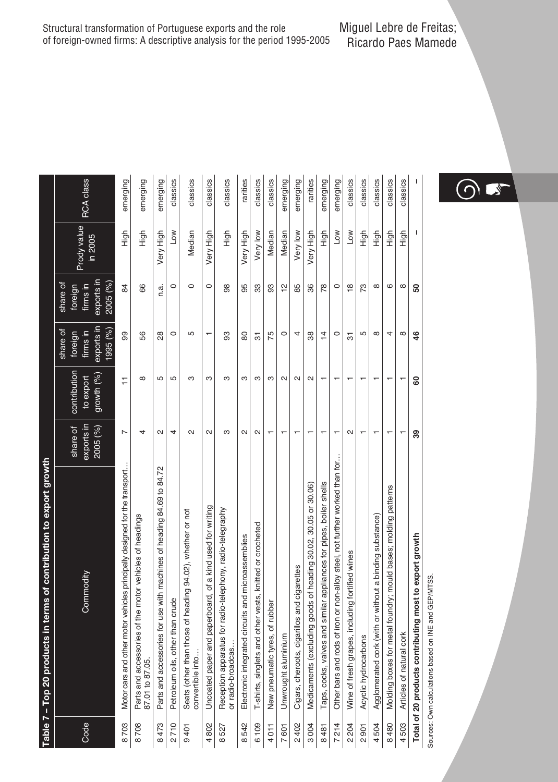|                       | Table 7 - Top 20 products in terms of contribution to export growth            |                                    |                                         |                                                          |                                                           |                        |           |
|-----------------------|--------------------------------------------------------------------------------|------------------------------------|-----------------------------------------|----------------------------------------------------------|-----------------------------------------------------------|------------------------|-----------|
| Code                  | Commodity                                                                      | exports in<br>share of<br>2005 (%) | contribution<br>growth (%)<br>to export | exports in<br>1995(%)<br>share of<br>firms in<br>foreign | exports in<br>2005 (%)<br>share of<br>firms in<br>foreign | Prody value<br>in 2005 | RCA class |
| 8703                  | Motor cars and other motor vehicles principally designed for the transport     | Z                                  | Ξ                                       | 99                                                       | 84                                                        | High                   | emerging  |
| 708<br>$\infty$       | Parts and accessories of the motor vehicles of headings<br>87.01 to 87.05.     | 4                                  | $\infty$                                | 56                                                       | 66                                                        | tigh                   | emerging  |
| 473<br>$\infty$       | Parts and accessories for use with machines of heading 84.69 to 84.72          | N                                  | 5                                       | 28                                                       | ದ<br>É                                                    | Very High              | emerging  |
| 2710                  | Petroleum oils, other than crude                                               | 4                                  | 5                                       | $\circ$                                                  | $\circ$                                                   | Low                    | classics  |
| 401<br>ၜ              | Seats (other than those of heading 94.02), whether or not<br>convertible into. | $\sim$                             | ო                                       | 5                                                        | $\circ$                                                   | Median                 | classics  |
| 802<br>4              | Uncoated paper and paperboard, of a kind used for writing                      | $\sim$                             | ო                                       | ۳                                                        | $\circ$                                                   | Very High              | classics  |
| 527<br>$\infty$       | Reception apparatus for radio-telephony, radio-telegraphy<br>or radio-broadcas | S                                  | ო                                       | 8                                                        | 98                                                        | tigh                   | classics  |
| 542<br>$\infty$       | Electronic integrated circuits and microassemblies                             | $\sim$                             | ო                                       | 80                                                       | 95                                                        | Very High              | rarities  |
| 6109                  | T-shirts, singlets and other vests, knitted or crocheted                       | $\mathbf{\Omega}$                  | ო                                       | 5                                                        | 33                                                        | Very low               | classics  |
| 4011                  | New pneumatic tyres, of rubber                                                 |                                    | ო                                       | 75                                                       | 93                                                        | Median                 | classics  |
| 601<br>$\overline{ }$ | Unwrought aluminium                                                            |                                    | $\sim$                                  | $\circ$                                                  | $\frac{1}{2}$                                             | Median                 | emerging  |
| 2402                  | Cigars, cheroots, cigarillos and cigarettes                                    |                                    | $\mathbf{\Omega}$                       | 4                                                        | 85                                                        | Very low               | emerging  |
| 3004                  | Medicaments (excluding goods of heading 30.02, 30.05 or 30.06)                 |                                    | $\sim$                                  | 38                                                       | 36                                                        | Very High              | rarities  |
| 8481                  | Taps, cocks, valves and similar appliances for pipes, boiler shells            |                                    |                                         | $\overline{4}$                                           | 78                                                        | tigh                   | emerging  |
| 214<br>$\overline{a}$ | Other bars and rods of iron or non-alloy steel, not further worked than for    |                                    |                                         | $\circ$                                                  | $\circ$                                                   | NOT                    | emerging  |
| 204<br>$\sim$         | Wine of fresh grapes, including fortified wines                                | $\sim$                             |                                         | 5                                                        | $\frac{8}{1}$                                             | Low                    | classics  |
| 501<br>$\sim$         | Acyclic hydrocarbons                                                           |                                    |                                         | 5                                                        | 73                                                        | も<br>王                 | classics  |
| 504<br>4              | Agglomerated cork (with or without a binding substance)                        |                                    |                                         | $\infty$                                                 | $\infty$                                                  | も<br>王                 | classics  |
| 8480                  | Molding boxes for metal foundry; mould bases; molding patterns                 |                                    |                                         | 4                                                        | ဖ                                                         | figh                   | classics  |
| 4503                  | Articles of natural cork                                                       |                                    |                                         | $\infty$                                                 | ${}^{\circ}$                                              | も<br>王                 | classics  |
|                       | Total of 20 products contributing most to export growth                        | 39                                 | 8                                       | 46                                                       | 50                                                        |                        | I         |

Sources: Own calculations based on INE and GEP/MTSS. Sources: Own calculations based on INE and GEP/MTSS.

Structural transformation of Portuguese exports and the role of foreign-owned firms: A descriptive analysis for the period 1995-2005

Miguel Lebre de Freitas; Ricardo Paes Mamede

 $\bigcirc$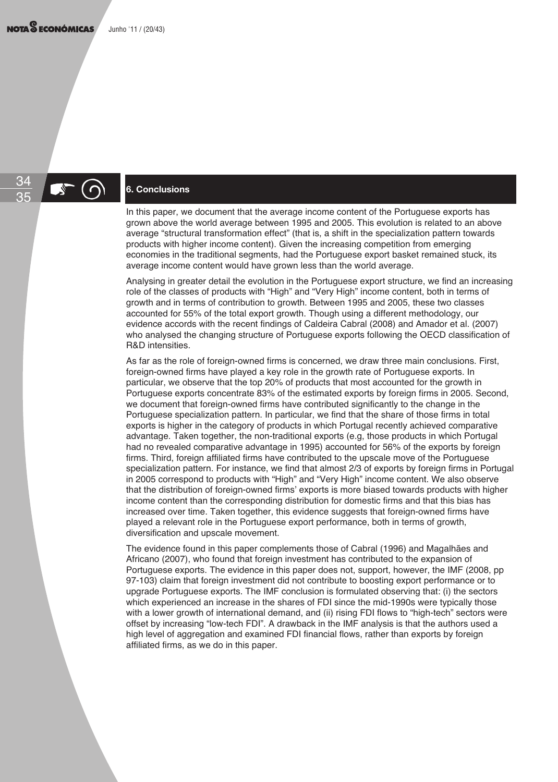## 34

### <sup>35</sup> **6. Conclusions**

In this paper, we document that the average income content of the Portuguese exports has grown above the world average between 1995 and 2005. This evolution is related to an above average "structural transformation effect" (that is, a shift in the specialization pattern towards products with higher income content). Given the increasing competition from emerging economies in the traditional segments, had the Portuguese export basket remained stuck, its average income content would have grown less than the world average.

Analysing in greater detail the evolution in the Portuguese export structure, we find an increasing role of the classes of products with "High" and "Very High" income content, both in terms of growth and in terms of contribution to growth. Between 1995 and 2005, these two classes accounted for 55% of the total export growth. Though using a different methodology, our evidence accords with the recent findings of Caldeira Cabral (2008) and Amador et al. (2007) who analysed the changing structure of Portuguese exports following the OECD classification of R&D intensities.

As far as the role of foreign-owned firms is concerned, we draw three main conclusions. First, foreign-owned firms have played a key role in the growth rate of Portuguese exports. In particular, we observe that the top 20% of products that most accounted for the growth in Portuguese exports concentrate 83% of the estimated exports by foreign firms in 2005. Second, we document that foreign-owned firms have contributed significantly to the change in the Portuguese specialization pattern. In particular, we find that the share of those firms in total exports is higher in the category of products in which Portugal recently achieved comparative advantage. Taken together, the non-traditional exports (e.g, those products in which Portugal had no revealed comparative advantage in 1995) accounted for 56% of the exports by foreign firms. Third, foreign affiliated firms have contributed to the upscale move of the Portuguese specialization pattern. For instance, we find that almost 2/3 of exports by foreign firms in Portugal in 2005 correspond to products with "High" and "Very High" income content. We also observe that the distribution of foreign-owned firms' exports is more biased towards products with higher income content than the corresponding distribution for domestic firms and that this bias has increased over time. Taken together, this evidence suggests that foreign-owned firms have played a relevant role in the Portuguese export performance, both in terms of growth, diversification and upscale movement.

The evidence found in this paper complements those of Cabral (1996) and Magalhães and Africano (2007), who found that foreign investment has contributed to the expansion of Portuguese exports. The evidence in this paper does not, support, however, the IMF (2008, pp 97-103) claim that foreign investment did not contribute to boosting export performance or to upgrade Portuguese exports. The IMF conclusion is formulated observing that: (i) the sectors which experienced an increase in the shares of FDI since the mid-1990s were typically those with a lower growth of international demand, and (ii) rising FDI flows to "high-tech" sectors were offset by increasing "low-tech FDI". A drawback in the IMF analysis is that the authors used a high level of aggregation and examined FDI financial flows, rather than exports by foreign affiliated firms, as we do in this paper.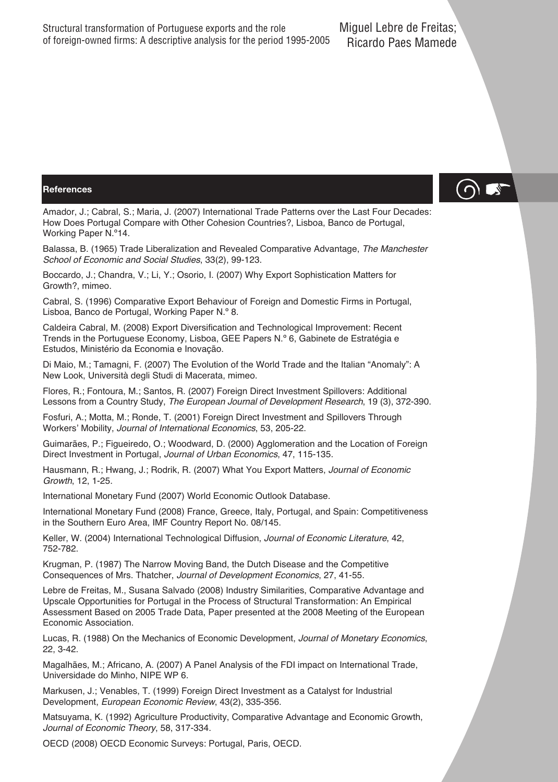#### **References**

 $\bigcirc$ 

Amador, J.; Cabral, S.; Maria, J. (2007) International Trade Patterns over the Last Four Decades: How Does Portugal Compare with Other Cohesion Countries?, Lisboa, Banco de Portugal, Working Paper N.º14.

Balassa, B. (1965) Trade Liberalization and Revealed Comparative Advantage, The Manchester School of Economic and Social Studies, 33(2), 99-123.

Boccardo, J.; Chandra, V.; Li, Y.; Osorio, I. (2007) Why Export Sophistication Matters for Growth?, mimeo.

Cabral, S. (1996) Comparative Export Behaviour of Foreign and Domestic Firms in Portugal, Lisboa, Banco de Portugal, Working Paper N.º 8.

Caldeira Cabral, M. (2008) Export Diversification and Technological Improvement: Recent Trends in the Portuguese Economy, Lisboa, GEE Papers N.º 6, Gabinete de Estratégia e Estudos, Ministério da Economia e Inovação.

Di Maio, M.; Tamagni, F. (2007) The Evolution of the World Trade and the Italian "Anomaly": A New Look, Università degli Studi di Macerata, mimeo.

Flores, R.; Fontoura, M.; Santos, R. (2007) Foreign Direct Investment Spillovers: Additional Lessons from a Country Study, The European Journal of Development Research, 19 (3), 372-390.

Fosfuri, A.; Motta, M.; Ronde, T. (2001) Foreign Direct Investment and Spillovers Through Workers' Mobility, Journal of International Economics, 53, 205-22.

Guimarães, P.; Figueiredo, O.; Woodward, D. (2000) Agglomeration and the Location of Foreign Direct Investment in Portugal, Journal of Urban Economics, 47, 115-135.

Hausmann, R.; Hwang, J.; Rodrik, R. (2007) What You Export Matters, Journal of Economic Growth, 12, 1-25.

International Monetary Fund (2007) World Economic Outlook Database.

International Monetary Fund (2008) France, Greece, Italy, Portugal, and Spain: Competitiveness in the Southern Euro Area, IMF Country Report No. 08/145.

Keller, W. (2004) International Technological Diffusion, Journal of Economic Literature, 42, 752-782.

Krugman, P. (1987) The Narrow Moving Band, the Dutch Disease and the Competitive Consequences of Mrs. Thatcher, Journal of Development Economics, 27, 41-55.

Lebre de Freitas, M., Susana Salvado (2008) Industry Similarities, Comparative Advantage and Upscale Opportunities for Portugal in the Process of Structural Transformation: An Empirical Assessment Based on 2005 Trade Data, Paper presented at the 2008 Meeting of the European Economic Association.

Lucas, R. (1988) On the Mechanics of Economic Development, Journal of Monetary Economics, 22, 3-42.

Magalhães, M.; Africano, A. (2007) A Panel Analysis of the FDI impact on International Trade, Universidade do Minho, NIPE WP 6.

Markusen, J.; Venables, T. (1999) Foreign Direct Investment as a Catalyst for Industrial Development, European Economic Review, 43(2), 335-356.

Matsuyama, K. (1992) Agriculture Productivity, Comparative Advantage and Economic Growth, Journal of Economic Theory, 58, 317-334.

OECD (2008) OECD Economic Surveys: Portugal, Paris, OECD.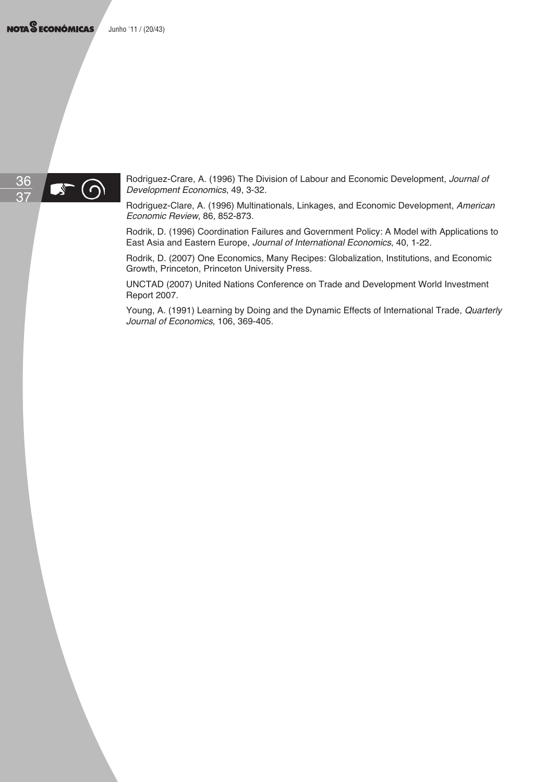NOTA<sup>S</sup> ECONÓMICAS Junho '11 / (20/43)



Rodriguez-Crare, A. (1996) The Division of Labour and Economic Development, Journal of Development Economics, 49, 3-32.

Rodriguez-Clare, A. (1996) Multinationals, Linkages, and Economic Development, American Economic Review, 86, 852-873.

Rodrik, D. (1996) Coordination Failures and Government Policy: A Model with Applications to East Asia and Eastern Europe, Journal of International Economics, 40, 1-22.

Rodrik, D. (2007) One Economics, Many Recipes: Globalization, Institutions, and Economic Growth, Princeton, Princeton University Press.

UNCTAD (2007) United Nations Conference on Trade and Development World Investment Report 2007.

Young, A. (1991) Learning by Doing and the Dynamic Effects of International Trade, Quarterly Journal of Economics, 106, 369-405.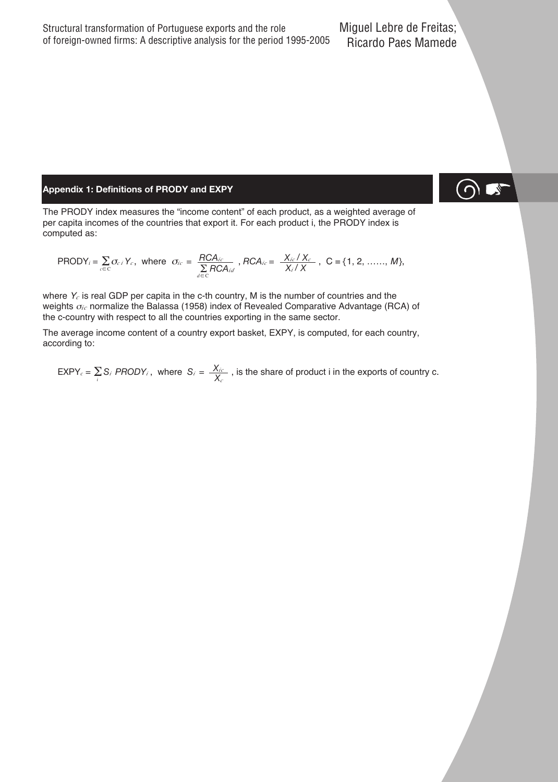#### **Appendix 1: Definitions of PRODY and EXPY**

The PRODY index measures the "income content" of each product, as a weighted average of per capita incomes of the countries that export it. For each product i, the PRODY index is computed as:

$$
\text{PRODY}_i = \sum_{c \in C} \sigma_{ci} Y_c, \text{ where } \sigma_{ic} = \frac{RCA_{ic}}{\sum_{d \in C} RCA_{id}}, RCA_{ic} = \frac{X_{ic}/X_c}{X_i/X}, C = \{1, 2, ......., M\},\
$$

where  $Y_c$  is real GDP per capita in the c-th country, M is the number of countries and the weights  $\sigma_{ic}$  normalize the Balassa (1958) index of Revealed Comparative Advantage (RCA) of the c-country with respect to all the countries exporting in the same sector.

The average income content of a country export basket, EXPY, is computed, for each country, according to:

 $EXPY_c = \sum_i S_i$  *PRODY<sub>i</sub>*, where  $S_i = \frac{X_{ic}}{X_c}$ , is the share of product i in the exports of country c.

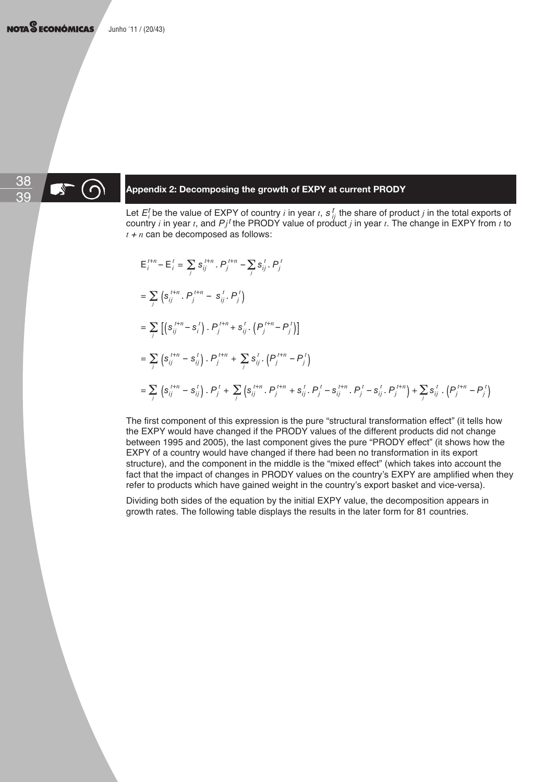## 38

## **499 Appendix 2: Decomposing the growth of EXPY at current PRODY**

Let  $E_i^t$  be the value of EXPY of country i in year t,  $s_{ij}^t$  the share of product j in the total exports of country *i* in year *t*, and  $Pj<sup>t</sup>$  the PRODY value of product *j* in year *t*. The change in EXPY from *t* to  $t + n$  can be decomposed as follows:

$$
\begin{split}\n& \mathsf{E}_{i}^{t+n} - \mathsf{E}_{i}^{t} = \sum_{j} \mathsf{s}_{ij}^{t+n} \cdot P_{j}^{t+n} - \sum_{j} \mathsf{s}_{ij}^{t} \cdot P_{j}^{t} \\
& = \sum_{j} \left( \mathsf{s}_{ij}^{t+n} \cdot P_{j}^{t+n} - \mathsf{s}_{ij}^{t} \cdot P_{j}^{t} \right) \\
& = \sum_{j} \left[ \left( \mathsf{s}_{ij}^{t+n} - \mathsf{s}_{i}^{t} \right) \cdot P_{j}^{t+n} + \mathsf{s}_{ij}^{t} \cdot \left( P_{j}^{t+n} - P_{j}^{t} \right) \right] \\
& = \sum_{j} \left( \mathsf{s}_{ij}^{t+n} - \mathsf{s}_{ij}^{t} \right) \cdot P_{j}^{t+n} + \sum_{j} \mathsf{s}_{ij}^{t} \cdot \left( P_{j}^{t+n} - P_{j}^{t} \right) \\
& = \sum_{j} \left( \mathsf{s}_{ij}^{t+n} - \mathsf{s}_{ij}^{t} \right) \cdot P_{j}^{t} + \sum_{j} \left( \mathsf{s}_{ij}^{t+n} \cdot P_{j}^{t+n} + \mathsf{s}_{ij}^{t} \cdot P_{j}^{t} - \mathsf{s}_{ij}^{t+n} \cdot P_{j}^{t} - \mathsf{s}_{ij}^{t} \cdot P_{j}^{t+n} \right) + \sum_{j} \mathsf{s}_{ij}^{t} \cdot \left( P_{j}^{t+n} - P_{j}^{t} \right) \\
& = \sum_{j} \left( \mathsf{s}_{ij}^{t+n} - \mathsf{s}_{ij}^{t} \right) \cdot P_{j}^{t} + \sum_{j} \left( \mathsf{s}_{ij}^{t+n} \cdot P_{j}^{t+n} + \mathsf{s}_{ij}^{t} \cdot P_{j}^{t} - \mathsf{s}_{ij}^{t+n} \cdot P_{j}^{t} - \mathsf{s}_{ij}^{t} \cdot P_{j}^{t+n} \right) + \sum_{j} \mathsf{s}_{ij}^{t} \cdot \left( P_{j}^{t+n} - P_{j}^{t} \right) \\
& = \sum_{j} \left( \mathsf{s}_{ij}^{t+n} - \mathsf{s}_{ij}^{t} \right) \cdot P_{j}^{t} + \sum_{j} \left( \mathsf{s}_{ij}^{t+n} \cdot P_{j}^{t+n} + \mathsf{s}_{ij
$$

The first component of this expression is the pure "structural transformation effect" (it tells how the EXPY would have changed if the PRODY values of the different products did not change between 1995 and 2005), the last component gives the pure "PRODY effect" (it shows how the EXPY of a country would have changed if there had been no transformation in its export structure), and the component in the middle is the "mixed effect" (which takes into account the fact that the impact of changes in PRODY values on the country's EXPY are amplified when they refer to products which have gained weight in the country's export basket and vice-versa).

Dividing both sides of the equation by the initial EXPY value, the decomposition appears in growth rates. The following table displays the results in the later form for 81 countries.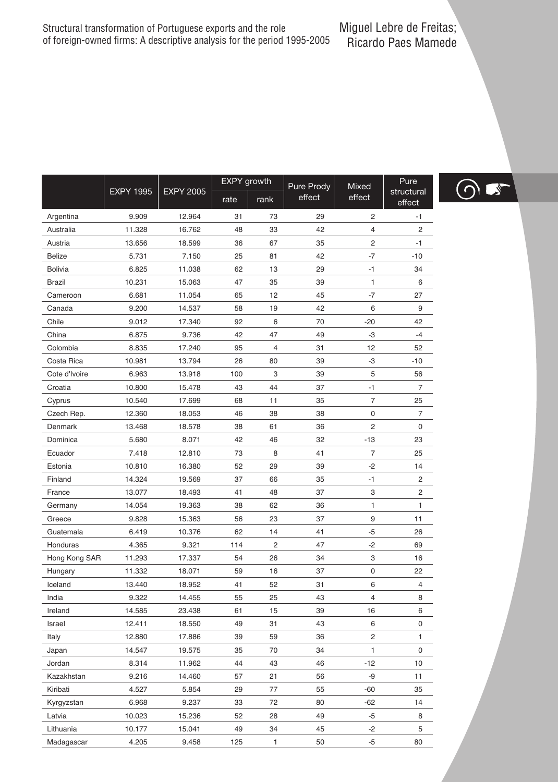|                |                  |                  | <b>EXPY</b> growth |                         | Pure Prody | Mixed  | Pure                 |
|----------------|------------------|------------------|--------------------|-------------------------|------------|--------|----------------------|
|                | <b>EXPY 1995</b> | <b>EXPY 2005</b> | rate               | rank                    | effect     | effect | structural<br>effect |
| Argentina      | 9.909            | 12.964           | 31                 | 73                      | 29         | 2      | $-1$                 |
| Australia      | 11.328           | 16.762           | 48                 | 33                      | 42         | 4      | $\overline{2}$       |
| Austria        | 13.656           | 18.599           | 36                 | 67                      | 35         | 2      | $-1$                 |
| <b>Belize</b>  | 5.731            | 7.150            | 25                 | 81                      | 42         | $-7$   | $-10$                |
| <b>Bolivia</b> | 6.825            | 11.038           | 62                 | 13                      | 29         | $-1$   | 34                   |
| <b>Brazil</b>  | 10.231           | 15.063           | 47                 | 35                      | 39         | 1      | 6                    |
| Cameroon       | 6.681            | 11.054           | 65                 | 12                      | 45         | $-7$   | 27                   |
| Canada         | 9.200            | 14.537           | 58                 | 19                      | 42         | 6      | 9                    |
| Chile          | 9.012            | 17.340           | 92                 | 6                       | 70         | $-20$  | 42                   |
| China          | 6.875            | 9.736            | 42                 | 47                      | 49         | -3     | $-4$                 |
| Colombia       | 8.835            | 17.240           | 95                 | $\overline{\mathbf{4}}$ | 31         | 12     | 52                   |
| Costa Rica     | 10.981           | 13.794           | 26                 | 80                      | 39         | -3     | $-10$                |
| Cote d'Ivoire  | 6.963            | 13.918           | 100                | 3                       | 39         | 5      | 56                   |
| Croatia        | 10.800           | 15.478           | 43                 | 44                      | 37         | $-1$   | $\overline{7}$       |
| Cyprus         | 10.540           | 17.699           | 68                 | 11                      | 35         | 7      | 25                   |
| Czech Rep.     | 12.360           | 18.053           | 46                 | 38                      | 38         | 0      | $\overline{7}$       |
| Denmark        | 13.468           | 18.578           | 38                 | 61                      | 36         | 2      | 0                    |
| Dominica       | 5.680            | 8.071            | 42                 | 46                      | 32         | $-13$  | 23                   |
| Ecuador        | 7.418            | 12.810           | 73                 | 8                       | 41         | 7      | 25                   |
| Estonia        | 10.810           | 16.380           | 52                 | 29                      | 39         | $-2$   | 14                   |
| Finland        | 14.324           | 19.569           | 37                 | 66                      | 35         | $-1$   | $\overline{2}$       |
| France         | 13.077           | 18.493           | 41                 | 48                      | 37         | 3      | $\overline{c}$       |
| Germany        | 14.054           | 19.363           | 38                 | 62                      | 36         | 1      | 1                    |
| Greece         | 9.828            | 15.363           | 56                 | 23                      | 37         | 9      | 11                   |
| Guatemala      | 6.419            | 10.376           | 62                 | 14                      | 41         | $-5$   | 26                   |
| Honduras       | 4.365            | 9.321            | 114                | $\overline{c}$          | 47         | $-2$   | 69                   |
| Hong Kong SAR  | 11.293           | 17.337           | 54                 | 26                      | 34         | 3      | 16                   |
| Hungary        | 11.332           | 18.071           | 59                 | 16                      | 37         | 0      | 22                   |
| Iceland        | 13.440           | 18.952           | 41                 | 52                      | 31         | 6      | $\overline{4}$       |
| India          | 9.322            | 14.455           | 55                 | 25                      | 43         | 4      | 8                    |
| Ireland        | 14.585           | 23.438           | 61                 | 15                      | 39         | 16     | 6                    |
| Israel         | 12.411           | 18.550           | 49                 | 31                      | 43         | 6      | $\mathsf 0$          |
| Italy          | 12.880           | 17.886           | 39                 | 59                      | 36         | 2      | 1                    |
| Japan          | 14.547           | 19.575           | 35                 | 70                      | 34         | 1      | $\mathbf 0$          |
| Jordan         | 8.314            | 11.962           | 44                 | 43                      | 46         | $-12$  | 10                   |
| Kazakhstan     | 9.216            | 14.460           | 57                 | 21                      | 56         | -9     | 11                   |
| Kiribati       | 4.527            | 5.854            | 29                 | 77                      | 55         | $-60$  | 35                   |
| Kyrgyzstan     | 6.968            | 9.237            | 33                 | 72                      | 80         | $-62$  | 14                   |
| Latvia         | 10.023           | 15.236           | 52                 | 28                      | 49         | $-5$   | 8                    |
| Lithuania      | 10.177           | 15.041           | 49                 | 34                      | 45         | $-2$   | 5                    |
| Madagascar     | 4.205            | 9.458            | 125                | 1                       | 50         | $-5$   | 80                   |

 $\bigcirc$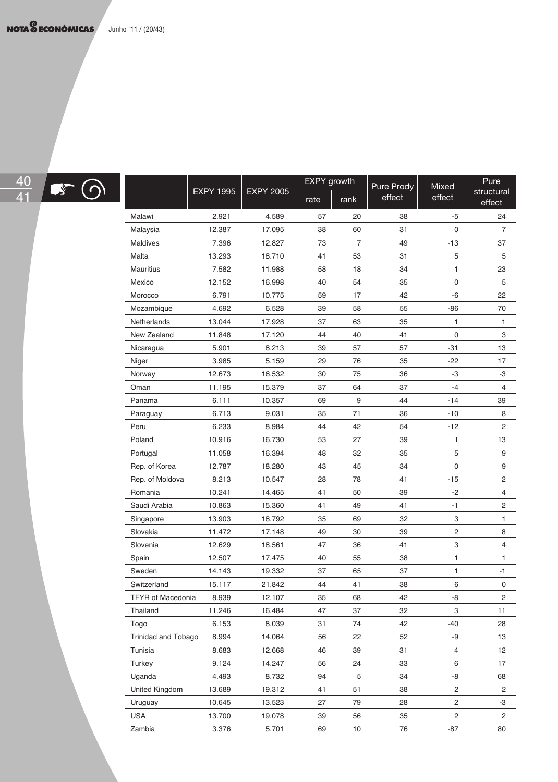

|                            |                  |                  | <b>EXPY</b> growth |                | Pure Prody | Mixed          | Pure                 |
|----------------------------|------------------|------------------|--------------------|----------------|------------|----------------|----------------------|
|                            | <b>EXPY 1995</b> | <b>EXPY 2005</b> | rate               | rank           | effect     | effect         | structural<br>effect |
| Malawi                     | 2.921            | 4.589            | 57                 | 20             | 38         | $-5$           | 24                   |
| Malaysia                   | 12.387           | 17.095           | 38                 | 60             | 31         | 0              | $\overline{7}$       |
| Maldives                   | 7.396            | 12.827           | 73                 | $\overline{7}$ | 49         | $-13$          | 37                   |
| Malta                      | 13.293           | 18.710           | 41                 | 53             | 31         | 5              | 5                    |
| <b>Mauritius</b>           | 7.582            | 11.988           | 58                 | 18             | 34         | 1              | 23                   |
| Mexico                     | 12.152           | 16.998           | 40                 | 54             | 35         | 0              | 5                    |
| Morocco                    | 6.791            | 10.775           | 59                 | 17             | 42         | -6             | 22                   |
| Mozambique                 | 4.692            | 6.528            | 39                 | 58             | 55         | $-86$          | 70                   |
| Netherlands                | 13.044           | 17.928           | 37                 | 63             | 35         | 1              | 1                    |
| New Zealand                | 11.848           | 17.120           | 44                 | 40             | 41         | 0              | 3                    |
| Nicaragua                  | 5.901            | 8.213            | 39                 | 57             | 57         | $-31$          | 13                   |
| Niger                      | 3.985            | 5.159            | 29                 | 76             | 35         | $-22$          | 17                   |
| Norway                     | 12.673           | 16.532           | 30                 | 75             | 36         | -3             | -3                   |
| Oman                       | 11.195           | 15.379           | 37                 | 64             | 37         | $-4$           | $\overline{4}$       |
| Panama                     | 6.111            | 10.357           | 69                 | 9              | 44         | $-14$          | 39                   |
| Paraguay                   | 6.713            | 9.031            | 35                 | 71             | 36         | $-10$          | 8                    |
| Peru                       | 6.233            | 8.984            | 44                 | 42             | 54         | $-12$          | $\overline{c}$       |
| Poland                     | 10.916           | 16.730           | 53                 | 27             | 39         | 1              | 13                   |
| Portugal                   | 11.058           | 16.394           | 48                 | 32             | 35         | 5              | 9                    |
| Rep. of Korea              | 12.787           | 18.280           | 43                 | 45             | 34         | 0              | 9                    |
| Rep. of Moldova            | 8.213            | 10.547           | 28                 | 78             | 41         | $-15$          | $\overline{2}$       |
| Romania                    | 10.241           | 14.465           | 41                 | 50             | 39         | $-2$           | $\overline{4}$       |
| Saudi Arabia               | 10.863           | 15.360           | 41                 | 49             | 41         | $-1$           | $\overline{2}$       |
| Singapore                  | 13.903           | 18.792           | 35                 | 69             | 32         | 3              | $\mathbf{1}$         |
| Slovakia                   | 11.472           | 17.148           | 49                 | 30             | 39         | $\overline{c}$ | 8                    |
| Slovenia                   | 12.629           | 18.561           | 47                 | 36             | 41         | 3              | $\overline{4}$       |
| Spain                      | 12.507           | 17.475           | 40                 | 55             | 38         | $\mathbf{1}$   | $\mathbf{1}$         |
| Sweden                     | 14.143           | 19.332           | 37                 | 65             | 37         | 1              | $-1$                 |
| Switzerland                | 15.117           | 21.842           | 44                 | 41             | 38         | 6              | 0                    |
| <b>TFYR</b> of Macedonia   | 8.939            | 12.107           | 35                 | 68             | 42         | -8             | $\overline{2}$       |
| Thailand                   | 11.246           | 16.484           | 47                 | 37             | 32         | 3              | 11                   |
| Togo                       | 6.153            | 8.039            | 31                 | 74             | 42         | $-40$          | 28                   |
| <b>Trinidad and Tobago</b> | 8.994            | 14.064           | 56                 | 22             | 52         | -9             | 13                   |
| Tunisia                    | 8.683            | 12.668           | 46                 | 39             | 31         | $\overline{4}$ | 12                   |
| Turkey                     | 9.124            | 14.247           | 56                 | 24             | 33         | 6              | 17                   |
| Uganda                     | 4.493            | 8.732            | 94                 | 5              | 34         | -8             | 68                   |
| United Kingdom             | 13.689           | 19.312           | 41                 | 51             | 38         | $\overline{c}$ | $\overline{2}$       |
| Uruguay                    | 10.645           | 13.523           | 27                 | 79             | 28         | $\overline{c}$ | -3                   |
| <b>USA</b>                 | 13.700           | 19.078           | 39                 | 56             | 35         | $\overline{2}$ | $\overline{2}$       |

Zambia 3.376 5.701 69 10 76 -87 80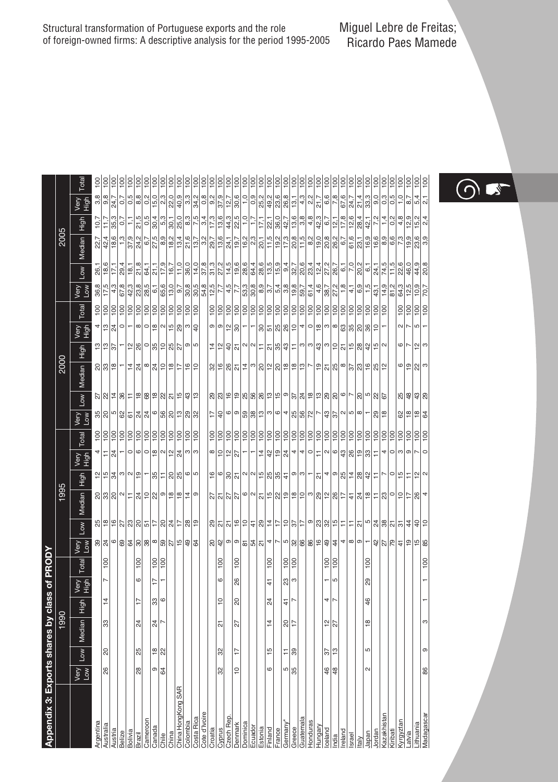| Appendix 3: Exports shares by class of PRODY |                      |                 |                |                 |                   |                  |                                           |                                                               |             |                                 |                          |                     |                                                                                                                 |                                           |                 |                                                  |                                          |                                |                                                                                                                                                             |                                                               |                                           |                                                                                                                                                                                                                                                                                                                     |                                                                                                                                                                                                                                                                                                                                                                                                                                                                                   |                    |
|----------------------------------------------|----------------------|-----------------|----------------|-----------------|-------------------|------------------|-------------------------------------------|---------------------------------------------------------------|-------------|---------------------------------|--------------------------|---------------------|-----------------------------------------------------------------------------------------------------------------|-------------------------------------------|-----------------|--------------------------------------------------|------------------------------------------|--------------------------------|-------------------------------------------------------------------------------------------------------------------------------------------------------------|---------------------------------------------------------------|-------------------------------------------|---------------------------------------------------------------------------------------------------------------------------------------------------------------------------------------------------------------------------------------------------------------------------------------------------------------------|-----------------------------------------------------------------------------------------------------------------------------------------------------------------------------------------------------------------------------------------------------------------------------------------------------------------------------------------------------------------------------------------------------------------------------------------------------------------------------------|--------------------|
|                                              |                      |                 | 1990           |                 |                   |                  |                                           |                                                               | 1995        |                                 |                          |                     |                                                                                                                 |                                           | 2000            |                                                  |                                          |                                |                                                                                                                                                             |                                                               | 2005                                      |                                                                                                                                                                                                                                                                                                                     |                                                                                                                                                                                                                                                                                                                                                                                                                                                                                   |                    |
|                                              | Very<br>Low          | $\vert$         | Median High    |                 | Nery<br>High      | Total            | Mor<br>Kie                                | $\vert$                                                       | Median High |                                 | Very<br>High             | Total               | Very<br>Low                                                                                                     | Low                                       | Median High     | Very<br>Нідh                                     |                                          | Total                          | wery<br>Low                                                                                                                                                 | Low   Median                                                  | High                                      | Very<br>Нідh                                                                                                                                                                                                                                                                                                        |                                                                                                                                                                                                                                                                                                                                                                                                                                                                                   | Total              |
| Argentina                                    |                      |                 |                |                 |                   |                  |                                           |                                                               |             |                                 |                          |                     |                                                                                                                 |                                           |                 |                                                  |                                          | $rac{8}{2}$                    | $\frac{36,8}{17,5}$                                                                                                                                         | $\frac{26,1}{18,6}$                                           |                                           | 10,7                                                                                                                                                                                                                                                                                                                |                                                                                                                                                                                                                                                                                                                                                                                                                                                                                   | 100                |
| Australia                                    | 26                   | ର               | 33             | $\frac{1}{4}$   | N                 | $\overline{100}$ | $\frac{8}{3}$                             | 1위히히의의의 이 이 의원이 있습니다                                          |             | <u>이번 위에서 이 나</u> 이 사람이 없는 것이 아 | 뒤치- 이이이의이의치이♡            | <u> 회회회회회회회회회회회</u> | $\frac{25}{25}$                                                                                                 | 2  2  2  2  2  2  2  2  2  2  2           | ସାଞା≈           | 합합법 다양의 이상 이상 이 아                                | 힐치이- 이이휘이휘해이후                            |                                |                                                                                                                                                             |                                                               | $\frac{22,7}{42,4}$                       | $\frac{1}{11}$                                                                                                                                                                                                                                                                                                      | $\frac{36}{9}$<br>$\frac{8}{4}$                                                                                                                                                                                                                                                                                                                                                                                                                                                   | $\frac{100}{2}$    |
| Austria                                      |                      |                 |                |                 |                   |                  |                                           |                                                               |             |                                 |                          |                     |                                                                                                                 |                                           |                 |                                                  |                                          |                                | 4.3                                                                                                                                                         | 17,1                                                          | 18,6                                      | 35,3                                                                                                                                                                                                                                                                                                                |                                                                                                                                                                                                                                                                                                                                                                                                                                                                                   | 100                |
| Belize                                       |                      |                 |                |                 |                   |                  |                                           |                                                               |             |                                 |                          |                     |                                                                                                                 |                                           |                 |                                                  |                                          |                                | 67,8                                                                                                                                                        | 29,4                                                          |                                           | 이다                                                                                                                                                                                                                                                                                                                  |                                                                                                                                                                                                                                                                                                                                                                                                                                                                                   |                    |
| Bolivia                                      |                      |                 |                |                 |                   |                  |                                           |                                                               |             |                                 |                          |                     |                                                                                                                 |                                           |                 |                                                  |                                          |                                | 42.3                                                                                                                                                        | 18,1                                                          | $\frac{9}{37}$<br>24.2                    |                                                                                                                                                                                                                                                                                                                     |                                                                                                                                                                                                                                                                                                                                                                                                                                                                                   | $\frac{1}{2}$      |
| $3$ razil                                    | 88                   | 85              | 24             | $\overline{17}$ | 6                 | 100              |                                           |                                                               |             |                                 |                          |                     |                                                                                                                 |                                           |                 |                                                  |                                          |                                | 23,8                                                                                                                                                        | 21,8                                                          |                                           | 21,5                                                                                                                                                                                                                                                                                                                |                                                                                                                                                                                                                                                                                                                                                                                                                                                                                   |                    |
| ameroor                                      |                      |                 |                |                 |                   |                  |                                           |                                                               |             |                                 |                          |                     |                                                                                                                 |                                           |                 |                                                  |                                          |                                | 28,5                                                                                                                                                        | 64,1                                                          | 6,7                                       | 0,5                                                                                                                                                                                                                                                                                                                 | ငှစြီးဖြစ်                                                                                                                                                                                                                                                                                                                                                                                                                                                                        | 100                |
| Canada                                       | თ                    | <u>ଞ୍ଚ </u> ୍ଷ  | $\frac{4}{3}$  | 33              | $\overline{17}$   | 100              |                                           |                                                               |             |                                 |                          |                     |                                                                                                                 |                                           |                 |                                                  |                                          |                                |                                                                                                                                                             | 21,1                                                          | 27,5                                      | 30,4                                                                                                                                                                                                                                                                                                                |                                                                                                                                                                                                                                                                                                                                                                                                                                                                                   |                    |
| Chile                                        | 64                   |                 | Z              | $\circ$         |                   | $\frac{1}{2}$    | 의외외왕 % % % 상 % % %                        |                                                               |             |                                 |                          |                     | إعا⊠ا¤ العام عام المعام الم                                                                                     |                                           | 취외  히외  히타  리히  |                                                  |                                          | <u> 회회회회회회회회회</u>              | <u>ြစ္ခြင္ကြ</u>                                                                                                                                            | 17,9                                                          | 8,9                                       | 5,3                                                                                                                                                                                                                                                                                                                 | $\frac{3}{2} \times \frac{1}{2} \times \frac{1}{2} \times \frac{1}{2} \times \frac{1}{2} \times \frac{1}{2} \times \frac{1}{2} \times \frac{1}{2} \times \frac{1}{2} \times \frac{1}{2} \times \frac{1}{2} \times \frac{1}{2} \times \frac{1}{2} \times \frac{1}{2} \times \frac{1}{2} \times \frac{1}{2} \times \frac{1}{2} \times \frac{1}{2} \times \frac{1}{2} \times \frac{1}{2} \times \frac{1}{2} \times \frac{1}{2} \times \frac{1}{2} \times \frac{1}{2} \times \frac{1$ | <u>iajaja</u>      |
| <b>China</b>                                 |                      |                 |                |                 |                   |                  |                                           |                                                               |             |                                 |                          |                     |                                                                                                                 |                                           |                 |                                                  |                                          |                                |                                                                                                                                                             | 16,7                                                          | 18,2                                      | 30,1                                                                                                                                                                                                                                                                                                                |                                                                                                                                                                                                                                                                                                                                                                                                                                                                                   |                    |
| China HongKong SAR                           |                      |                 |                |                 |                   |                  |                                           |                                                               |             |                                 |                          |                     |                                                                                                                 |                                           |                 |                                                  |                                          |                                |                                                                                                                                                             | 11,0                                                          | 13,4                                      | $\sqrt{8}$<br>$\frac{1}{2}$<br>$\frac{1}{2}$<br>$\frac{1}{2}$<br>$\frac{1}{2}$<br>$\frac{1}{2}$<br>$\frac{1}{2}$<br>$\frac{1}{2}$<br>$\frac{1}{2}$<br><br>$\frac{1}{2}$<br><br><br><br><br><br><br><br><br><br><br><br><br><br><br><br><br><br><br><br><br><br><br><br><br><br><br><br><br><br><br><br><br><br><br> |                                                                                                                                                                                                                                                                                                                                                                                                                                                                                   | $rac{100}{100}$    |
| Colombia                                     |                      |                 |                |                 |                   |                  |                                           |                                                               |             |                                 |                          |                     |                                                                                                                 |                                           |                 |                                                  |                                          |                                | <br> အ  စ  စ  စ<br> အ  စ  စ                                                                                                                                 | 36,0                                                          | 21,6                                      |                                                                                                                                                                                                                                                                                                                     |                                                                                                                                                                                                                                                                                                                                                                                                                                                                                   |                    |
| Costa Rica                                   |                      |                 |                |                 |                   |                  |                                           |                                                               |             |                                 |                          |                     |                                                                                                                 |                                           |                 |                                                  |                                          |                                |                                                                                                                                                             | 14,0                                                          | 13,7                                      |                                                                                                                                                                                                                                                                                                                     |                                                                                                                                                                                                                                                                                                                                                                                                                                                                                   |                    |
| Cote d'Ivoire                                |                      |                 |                |                 |                   |                  |                                           |                                                               |             |                                 |                          |                     |                                                                                                                 |                                           |                 |                                                  |                                          |                                |                                                                                                                                                             | $\frac{37.8}{31.3}$                                           |                                           |                                                                                                                                                                                                                                                                                                                     |                                                                                                                                                                                                                                                                                                                                                                                                                                                                                   | $\frac{1}{2}$      |
| Croatia                                      |                      |                 |                |                 |                   |                  |                                           |                                                               |             |                                 |                          |                     | $\frac{17}{2}$                                                                                                  |                                           |                 |                                                  |                                          |                                |                                                                                                                                                             |                                                               |                                           |                                                                                                                                                                                                                                                                                                                     |                                                                                                                                                                                                                                                                                                                                                                                                                                                                                   |                    |
| Syprus                                       | 32                   | ೫               | 짒              | $\overline{1}$  | 6                 | 100              | 있어이아                                      |                                                               |             |                                 | ∞ 의의제−                   |                     |                                                                                                                 |                                           |                 |                                                  | 이이일이                                     |                                | $7,7$<br>4,5                                                                                                                                                | 27,2                                                          |                                           | 13,6                                                                                                                                                                                                                                                                                                                |                                                                                                                                                                                                                                                                                                                                                                                                                                                                                   | <b>assau</b>       |
| Czech Rep.                                   |                      |                 |                |                 |                   |                  |                                           |                                                               |             |                                 |                          |                     |                                                                                                                 |                                           |                 |                                                  |                                          |                                |                                                                                                                                                             | 14,5                                                          |                                           |                                                                                                                                                                                                                                                                                                                     |                                                                                                                                                                                                                                                                                                                                                                                                                                                                                   |                    |
| Denmark                                      | $\frac{1}{\sqrt{2}}$ | 17              | 52             | ನಿ              | 88                | $\frac{8}{1}$    |                                           |                                                               |             |                                 |                          |                     |                                                                                                                 |                                           |                 |                                                  |                                          |                                | $\frac{1}{7}$                                                                                                                                               |                                                               |                                           | $rac{4}{225}$                                                                                                                                                                                                                                                                                                       |                                                                                                                                                                                                                                                                                                                                                                                                                                                                                   |                    |
| <b>Dominica</b>                              |                      |                 |                |                 |                   |                  |                                           |                                                               |             |                                 |                          |                     |                                                                                                                 |                                           |                 |                                                  |                                          |                                |                                                                                                                                                             |                                                               |                                           |                                                                                                                                                                                                                                                                                                                     |                                                                                                                                                                                                                                                                                                                                                                                                                                                                                   |                    |
| Ecuador                                      |                      |                 |                |                 |                   |                  |                                           |                                                               |             |                                 | $\overline{\phantom{a}}$ |                     |                                                                                                                 |                                           |                 |                                                  | Ξ                                        |                                | $\frac{3}{3}$                                                                                                                                               |                                                               |                                           | $\frac{5}{17}$                                                                                                                                                                                                                                                                                                      |                                                                                                                                                                                                                                                                                                                                                                                                                                                                                   |                    |
| Estonia                                      |                      |                 |                |                 |                   |                  |                                           |                                                               |             |                                 |                          |                     |                                                                                                                 |                                           |                 |                                                  |                                          |                                |                                                                                                                                                             |                                                               |                                           | 17,1                                                                                                                                                                                                                                                                                                                |                                                                                                                                                                                                                                                                                                                                                                                                                                                                                   |                    |
| inland                                       | ဖ                    | 15              | $\overline{4}$ | 24              | $\frac{4}{3}$     | 100              | 의외의 4 ~                                   |                                                               |             |                                 |                          |                     |                                                                                                                 |                                           |                 |                                                  |                                          |                                |                                                                                                                                                             |                                                               |                                           |                                                                                                                                                                                                                                                                                                                     |                                                                                                                                                                                                                                                                                                                                                                                                                                                                                   |                    |
| France                                       |                      |                 |                |                 |                   |                  |                                           |                                                               |             |                                 |                          |                     |                                                                                                                 |                                           |                 |                                                  |                                          |                                |                                                                                                                                                             |                                                               |                                           |                                                                                                                                                                                                                                                                                                                     |                                                                                                                                                                                                                                                                                                                                                                                                                                                                                   |                    |
| Germany                                      |                      |                 |                | $rac{1}{r}$     |                   | $rac{100}{100}$  |                                           |                                                               |             |                                 |                          |                     |                                                                                                                 |                                           |                 |                                                  |                                          |                                |                                                                                                                                                             |                                                               | $\frac{ a }{ a }$                         | -  이스   <br> 이상  이                                                                                                                                                                                                                                                                                                  |                                                                                                                                                                                                                                                                                                                                                                                                                                                                                   |                    |
| Greece                                       | ဖြစ                  | ≍ జ             | 의는             |                 | ღ $\frac{1}{2}$ ო |                  |                                           |                                                               |             |                                 |                          |                     |                                                                                                                 |                                           |                 |                                                  |                                          |                                |                                                                                                                                                             |                                                               |                                           |                                                                                                                                                                                                                                                                                                                     |                                                                                                                                                                                                                                                                                                                                                                                                                                                                                   |                    |
| Guatemala                                    |                      |                 |                |                 |                   |                  | ၑ႞ၛႂႝၛႄၛႄ႞ၛႄ႞ၛႜၛႝ႖႞ၜ႞ၜ႞–                  |                                                               |             | 위의왕의하이하하하위원수이하는의자이하하이하          | 후 허 히 외 4 4 이드           |                     | မျိုစု  စု  မျိုး  မျိုး  မျိုး  မျိုး  မျို                                                                    |                                           |                 |                                                  |                                          | <u>alalalalalalalalalalala</u> | $\frac{\omega}{\omega} \frac{\omega}{\omega} \frac{\omega}{\omega} \frac{\omega}{\omega} \frac{\omega}{\omega} \frac{\omega}{\omega} \frac{\omega}{\omega}$ | စစ်ဖြစ် အဖြစ် ဖြစ် မြို့<br>ဖြစ် နေ့ဖြစ် ဖြစ် မြို့ကြီး မြို့ |                                           | $\frac{8}{9}$<br>$\frac{8}{4}$                                                                                                                                                                                                                                                                                      |                                                                                                                                                                                                                                                                                                                                                                                                                                                                                   | <u>alalalalala</u> |
| <b>Honduras</b>                              |                      |                 |                |                 |                   |                  |                                           |                                                               |             |                                 |                          |                     |                                                                                                                 |                                           |                 |                                                  |                                          |                                | 61,4                                                                                                                                                        |                                                               | 8,2                                       |                                                                                                                                                                                                                                                                                                                     |                                                                                                                                                                                                                                                                                                                                                                                                                                                                                   |                    |
| <b>Hungary</b>                               |                      |                 |                |                 |                   |                  |                                           |                                                               |             |                                 |                          |                     |                                                                                                                 |                                           |                 |                                                  |                                          |                                | 4,6                                                                                                                                                         | $\frac{12.4}{ }$                                              | 9,0                                       | $\sqrt{42.3}$                                                                                                                                                                                                                                                                                                       |                                                                                                                                                                                                                                                                                                                                                                                                                                                                                   | $\frac{100}{2}$    |
| celand                                       | 위우                   | $\frac{25}{13}$ | $\frac{2}{3}$  | 4 1             |                   | 힘                |                                           |                                                               |             |                                 |                          |                     |                                                                                                                 |                                           |                 |                                                  |                                          |                                |                                                                                                                                                             |                                                               |                                           |                                                                                                                                                                                                                                                                                                                     |                                                                                                                                                                                                                                                                                                                                                                                                                                                                                   | 100                |
| ndia                                         |                      |                 |                |                 | LO                |                  |                                           |                                                               |             |                                 |                          |                     | $\frac{1}{2}$ $\frac{1}{2}$ $\frac{1}{2}$ $\frac{1}{2}$ $\frac{1}{2}$ $\frac{1}{2}$ $\frac{1}{2}$ $\frac{1}{2}$ |                                           |                 |                                                  |                                          |                                | $\frac{38.7}{27.2}$                                                                                                                                         | $\frac{27.2}{26.7}$                                           | $\frac{8}{8}$ $\frac{8}{8}$ $\frac{1}{8}$ | $rac{6,7}{12,1}$                                                                                                                                                                                                                                                                                                    | $rac{6,8}{7,8}$                                                                                                                                                                                                                                                                                                                                                                                                                                                                   | $\frac{100}{100}$  |
| reland                                       |                      |                 |                |                 |                   |                  |                                           |                                                               |             |                                 |                          |                     |                                                                                                                 |                                           |                 |                                                  |                                          |                                | 1,8                                                                                                                                                         | $6,1$<br>$7,0$                                                |                                           | 17,8                                                                                                                                                                                                                                                                                                                |                                                                                                                                                                                                                                                                                                                                                                                                                                                                                   |                    |
| srael                                        |                      |                 |                |                 |                   |                  |                                           |                                                               |             |                                 |                          |                     |                                                                                                                 |                                           |                 |                                                  |                                          |                                | 4,1                                                                                                                                                         |                                                               | 61,6                                      | 12,6                                                                                                                                                                                                                                                                                                                | $rac{67,6}{24,7}$                                                                                                                                                                                                                                                                                                                                                                                                                                                                 | 100                |
| $t$ aly                                      |                      |                 |                |                 |                   |                  |                                           |                                                               |             |                                 |                          |                     |                                                                                                                 |                                           |                 |                                                  |                                          |                                | $\frac{6.9}{ }$                                                                                                                                             | 20,2                                                          |                                           | 28,4                                                                                                                                                                                                                                                                                                                |                                                                                                                                                                                                                                                                                                                                                                                                                                                                                   | $\frac{100}{2}$    |
| lapan                                        | N                    | Б               | $\frac{8}{1}$  | 46              | 8                 | $\overline{0}$   |                                           |                                                               |             |                                 |                          |                     |                                                                                                                 |                                           |                 |                                                  |                                          |                                | 1,5                                                                                                                                                         | $\overline{6}$ , 1                                            | $\sqrt{\frac{1}{100}}$                    |                                                                                                                                                                                                                                                                                                                     |                                                                                                                                                                                                                                                                                                                                                                                                                                                                                   |                    |
| lordan                                       |                      |                 |                |                 |                   |                  | $\frac{1}{2}$ $\frac{1}{2}$ $\frac{1}{2}$ |                                                               |             |                                 | 이이\$  %  회원  라이이이        |                     | 있은                                                                                                              | 워워의의외위위의의의이어의 이 사이 이 이 이 이 이 이 이 이 이 이 있다 |                 | <u> 후 한 하 이 아이 지 않아 하 하 아이 하 아이 하 아이 하 하 하 하</u> | ချင်  အျချခြ  ချိုမျို့  ချို့  ချို့  ခ | 히히히히히히히히                       | 43,1                                                                                                                                                        | $\frac{24,1}{74,5}$                                           |                                           | $\frac{42,1}{7,2}$                                                                                                                                                                                                                                                                                                  | ဗ္ကိုဒ္ကုဗ္<br> ဗ္ကိုချီဒါ့ဗ်                                                                                                                                                                                                                                                                                                                                                                                                                                                     | <u>alalala</u>     |
| azakhistar                                   |                      |                 |                |                 |                   |                  |                                           |                                                               |             |                                 |                          |                     |                                                                                                                 |                                           |                 |                                                  |                                          |                                | $\frac{3}{4}$<br>$\frac{9}{8}$                                                                                                                              |                                                               | 8,9                                       | 1,4                                                                                                                                                                                                                                                                                                                 |                                                                                                                                                                                                                                                                                                                                                                                                                                                                                   |                    |
| Kiribati                                     |                      |                 |                |                 |                   |                  |                                           |                                                               |             |                                 |                          |                     |                                                                                                                 |                                           |                 |                                                  |                                          |                                |                                                                                                                                                             | 11,5                                                          | 6,6                                       | $\overline{0,2}$                                                                                                                                                                                                                                                                                                    |                                                                                                                                                                                                                                                                                                                                                                                                                                                                                   |                    |
| (yrgyztan                                    |                      |                 |                |                 |                   |                  |                                           |                                                               |             | <b>이위</b>                       |                          |                     |                                                                                                                 |                                           |                 |                                                  |                                          | $\frac{8}{100}$                | 64,3                                                                                                                                                        | 22,6                                                          |                                           | $\frac{4,8}{2}$                                                                                                                                                                                                                                                                                                     | $\overline{1}$ , $\overline{0}$                                                                                                                                                                                                                                                                                                                                                                                                                                                   | 100                |
| .atvia                                       |                      |                 |                |                 |                   |                  | $\boxed{9}$                               |                                                               |             |                                 |                          |                     |                                                                                                                 |                                           |                 | ∞ ∼                                              | $\sim$                                   | $\frac{1}{2}$                  | 12,5                                                                                                                                                        | 46,0                                                          | 19,9                                      |                                                                                                                                                                                                                                                                                                                     | 8,7                                                                                                                                                                                                                                                                                                                                                                                                                                                                               | 100                |
| .ithuania                                    |                      |                 |                |                 |                   |                  | $\frac{15}{96}$                           | <u> හ්ମ්ମା 이러 시 지 다이 이러 다 이 이 어머니 다 기 이 외 에 에 에 에 에 대 해 하</u> |             | 일 $\sim$                        |                          | 8888                | 8  일  일  정                                                                                                      | $\frac{18}{3}$ ମ୍ମା                       | <u>ပြောပြီး</u> | ည္ $ $ က                                         | S                                        | 100                            | $\frac{70,7}{70}$                                                                                                                                           | $\frac{4}{20}$<br>20,8                                        | <u>ဖွ</u> စြွ                             | $\frac{15.4}{2.4}$                                                                                                                                                                                                                                                                                                  | $5\frac{4}{21}$                                                                                                                                                                                                                                                                                                                                                                                                                                                                   | $rac{100}{100}$    |
| Madagascar                                   | 86                   | G)              | co             |                 |                   | 100              |                                           |                                                               |             |                                 | $\circ$                  |                     |                                                                                                                 |                                           |                 |                                                  | $\overline{ }$                           | 100                            |                                                                                                                                                             |                                                               |                                           |                                                                                                                                                                                                                                                                                                                     |                                                                                                                                                                                                                                                                                                                                                                                                                                                                                   |                    |
|                                              |                      |                 |                |                 |                   |                  |                                           |                                                               |             |                                 |                          |                     |                                                                                                                 |                                           |                 |                                                  |                                          |                                |                                                                                                                                                             |                                                               |                                           |                                                                                                                                                                                                                                                                                                                     |                                                                                                                                                                                                                                                                                                                                                                                                                                                                                   |                    |

 $O<sub>1</sub>$ 

### Miguel Lebre de Freitas; Ricardo Paes Mamede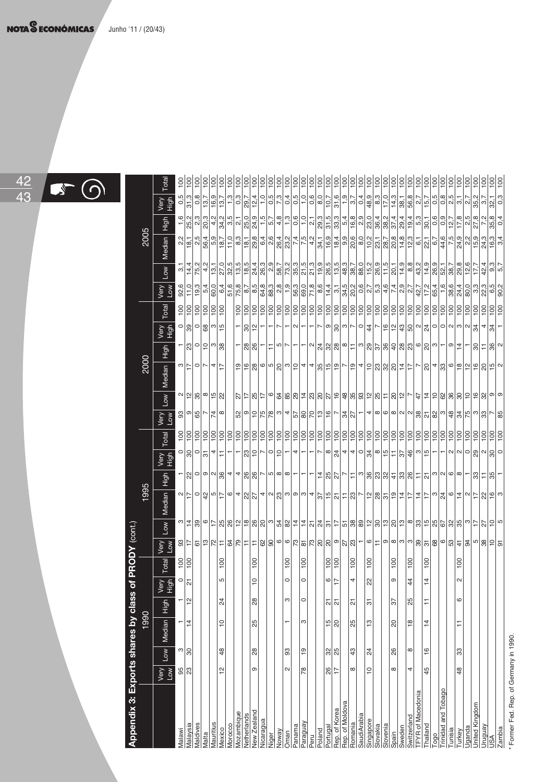

| j<br>$\cdot$<br>Ŀ<br>l |  |
|------------------------|--|
| けいこうこう                 |  |
| ה ביני הוה ה<br>J      |  |
| n ea mai ea k          |  |
| <br> <br>              |  |
| ĺ<br>í                 |  |
|                        |  |
| ŧ<br>I                 |  |

| Appendix 3: Exports shares by class of PRODY (cont.) |                |                 |                |               |                   |                   |                                     |                                                              |                                                                   |                                           |              |               |                                              |                         |                                            |                                           |                                       |                                 |                                                                                                                                                                                                                                                                                                                                                                                                                                                                                     |                                     |                                      |                    |              |       |
|------------------------------------------------------|----------------|-----------------|----------------|---------------|-------------------|-------------------|-------------------------------------|--------------------------------------------------------------|-------------------------------------------------------------------|-------------------------------------------|--------------|---------------|----------------------------------------------|-------------------------|--------------------------------------------|-------------------------------------------|---------------------------------------|---------------------------------|-------------------------------------------------------------------------------------------------------------------------------------------------------------------------------------------------------------------------------------------------------------------------------------------------------------------------------------------------------------------------------------------------------------------------------------------------------------------------------------|-------------------------------------|--------------------------------------|--------------------|--------------|-------|
|                                                      |                |                 | 1990           |               |                   |                   |                                     |                                                              | 1995                                                              |                                           |              |               |                                              |                         | 2000                                       |                                           |                                       |                                 |                                                                                                                                                                                                                                                                                                                                                                                                                                                                                     |                                     | 2005                                 |                    |              |       |
|                                                      | Very<br>Low    | $\vert$ wor     | Median High    |               | Very<br>High      | Total             | Wey<br>Viey                         | Low                                                          | Median High                                                       |                                           | Nery<br>High | Total         | Very<br>Very                                 |                         | Low   Median   High                        |                                           | Very<br>High                          | Total                           | wey<br>Yey                                                                                                                                                                                                                                                                                                                                                                                                                                                                          |                                     | Low   Median   High                  |                    | Nery<br>High | Total |
| <b>Malawi</b>                                        |                |                 |                |               | $\circ$           |                   |                                     |                                                              |                                                                   |                                           |              |               |                                              |                         |                                            |                                           |                                       |                                 |                                                                                                                                                                                                                                                                                                                                                                                                                                                                                     |                                     |                                      |                    |              |       |
| lalaysia                                             | $\frac{5}{23}$ | ి 8             | - 후            | $\frac{1}{2}$ | $\overline{\sim}$ | $\frac{100}{100}$ |                                     |                                                              |                                                                   |                                           | 이왕이와~ =      |               | $\frac{1}{2}$                                | $\frac{1}{2}$ 이 있는 이 있는 | 이디이시지                                      |                                           |                                       | <u> 회회회회회</u>                   | 92,6<br>11,0                                                                                                                                                                                                                                                                                                                                                                                                                                                                        | 일국성성급                               |                                      |                    |              |       |
| <b>Aaldives</b>                                      |                |                 |                |               |                   |                   |                                     |                                                              |                                                                   |                                           |              |               |                                              |                         |                                            |                                           |                                       |                                 | 19,3                                                                                                                                                                                                                                                                                                                                                                                                                                                                                |                                     |                                      |                    |              |       |
| <b>Aalta</b>                                         |                |                 |                |               |                   |                   |                                     |                                                              |                                                                   |                                           |              |               |                                              |                         |                                            |                                           |                                       |                                 | 5,4                                                                                                                                                                                                                                                                                                                                                                                                                                                                                 |                                     |                                      |                    |              |       |
| <b>Aauritius</b>                                     |                |                 |                |               |                   |                   |                                     |                                                              |                                                                   |                                           |              |               |                                              |                         |                                            |                                           |                                       |                                 | 60,0                                                                                                                                                                                                                                                                                                                                                                                                                                                                                |                                     |                                      |                    |              |       |
| <b><i>Mexico</i></b>                                 | 으              | \$              | ă              | 24            | 5                 | $\frac{8}{1}$     |                                     |                                                              |                                                                   |                                           |              |               |                                              |                         |                                            |                                           |                                       |                                 | 6,4                                                                                                                                                                                                                                                                                                                                                                                                                                                                                 |                                     | <u> 있는 하나 하나 하나</u><br>이 사람이 아이 아이 사 |                    |              |       |
| <b>Norocco</b>                                       |                |                 |                |               |                   |                   |                                     |                                                              |                                                                   |                                           |              |               |                                              |                         |                                            |                                           |                                       |                                 | 51,6                                                                                                                                                                                                                                                                                                                                                                                                                                                                                |                                     |                                      |                    |              |       |
| <b>Nozambique</b>                                    |                |                 |                |               |                   |                   |                                     |                                                              |                                                                   |                                           |              |               |                                              |                         |                                            |                                           |                                       |                                 |                                                                                                                                                                                                                                                                                                                                                                                                                                                                                     |                                     |                                      |                    |              |       |
| letherlands                                          |                |                 |                |               |                   |                   |                                     |                                                              |                                                                   |                                           |              |               |                                              |                         |                                            | ଞ୍ଜାଞ୍ଜା                                  | 위일                                    |                                 |                                                                                                                                                                                                                                                                                                                                                                                                                                                                                     |                                     |                                      |                    |              |       |
| lew Zealand                                          | თ              | 88              | 25             | 28            | <u>۽</u>          | $\overline{0}$    |                                     |                                                              |                                                                   |                                           |              |               |                                              |                         |                                            |                                           |                                       |                                 |                                                                                                                                                                                                                                                                                                                                                                                                                                                                                     |                                     |                                      |                    |              |       |
| licaragua                                            |                |                 |                |               |                   |                   | 있는 의하이 나의 아이는 아이에 이 사람들이 아이가 있다.    | 이번없이는 2월에 이상이 이 사이 사이 사이 사이 이 사이에 있는 것이 아니다 이 사이에 있는 것이 아니다. | <u>예단이와 이번이치에 비리에 이 아이 사람들이 나</u> 이 사람이 아니다. 이 사람이 아니다 이 사람이 아니다. | ᅱ웨이이아워하나예외이니아이아니니니치외이니티아잉외왜라왜외비비아이아이나와티워ㅡ |              |               | ၛၟႝၜ႞ႄ႞ၛၟႜၛၯ႞ၛၛၛၟၛၣ႞ၛၯၟၯၟၣ႞ၣ႞ၛၜ႞ၛၣၛၛၛၛၛၯၯၯၟၣ |                         | 희위웨이이잉 이히▲ 세워히히니히▲ 히잉  이히치  디니잉 #  2  히히히히 |                                           |                                       | 회회회회회회회회회회회회회회회회회회회회회회회회회회회회회회회 | ရဲ ၂ ရဲ ၂ ရဲ ၂ ရဲ ၂ ရဲ<br>  ၂ ရဲ ၂ ရဲ ၂ ရဲ ၂ ရဲ ၂ ရဲ                                                                                                                                                                                                                                                                                                                                                                                                                                |                                     |                                      |                    |              |       |
| liger                                                |                |                 |                |               |                   |                   |                                     |                                                              |                                                                   |                                           |              |               |                                              |                         |                                            |                                           |                                       |                                 |                                                                                                                                                                                                                                                                                                                                                                                                                                                                                     |                                     |                                      |                    |              |       |
| loway                                                |                |                 |                |               |                   |                   |                                     |                                                              |                                                                   |                                           |              |               |                                              |                         |                                            |                                           |                                       |                                 |                                                                                                                                                                                                                                                                                                                                                                                                                                                                                     |                                     |                                      |                    |              |       |
| man                                                  | 2              | 8               |                | S             | $\circ$           | $\frac{8}{1}$     |                                     |                                                              |                                                                   |                                           |              |               |                                              |                         |                                            |                                           |                                       |                                 |                                                                                                                                                                                                                                                                                                                                                                                                                                                                                     |                                     |                                      |                    |              |       |
| anama                                                |                |                 |                |               |                   |                   |                                     |                                                              |                                                                   |                                           |              |               |                                              |                         |                                            |                                           | $\sim$                                |                                 |                                                                                                                                                                                                                                                                                                                                                                                                                                                                                     |                                     |                                      |                    |              |       |
| araguay                                              | 78             | ٥Ļ              | ო              | $\circ$       | $\circ$           | 100               |                                     |                                                              |                                                                   |                                           |              |               |                                              |                         |                                            |                                           | ٣                                     |                                 |                                                                                                                                                                                                                                                                                                                                                                                                                                                                                     |                                     |                                      |                    |              |       |
| Peru                                                 |                |                 |                |               |                   |                   |                                     |                                                              |                                                                   |                                           |              |               |                                              |                         |                                            |                                           |                                       |                                 |                                                                                                                                                                                                                                                                                                                                                                                                                                                                                     |                                     |                                      |                    |              |       |
| bualo <sub>6</sub>                                   |                |                 |                |               |                   |                   |                                     |                                                              |                                                                   |                                           |              |               |                                              |                         |                                            |                                           |                                       |                                 |                                                                                                                                                                                                                                                                                                                                                                                                                                                                                     |                                     |                                      |                    |              |       |
| ortugal                                              | $rac{6}{17}$   | ន $\frac{8}{3}$ | ≌∣జ            | <u>ম ম</u>    | $\frac{1}{\pi}$   | $rac{100}{2}$     |                                     |                                                              |                                                                   |                                           |              |               |                                              |                         |                                            |                                           |                                       |                                 |                                                                                                                                                                                                                                                                                                                                                                                                                                                                                     |                                     |                                      |                    |              |       |
| lep. of Korea                                        |                |                 |                |               |                   |                   |                                     |                                                              |                                                                   |                                           |              |               |                                              |                         |                                            |                                           |                                       |                                 |                                                                                                                                                                                                                                                                                                                                                                                                                                                                                     |                                     |                                      |                    |              |       |
| Rep. of Moldova                                      |                |                 |                |               |                   |                   |                                     |                                                              |                                                                   |                                           |              |               |                                              |                         |                                            |                                           |                                       |                                 |                                                                                                                                                                                                                                                                                                                                                                                                                                                                                     |                                     |                                      |                    |              |       |
| iomania                                              | $\infty$       | 43              | $\frac{5}{25}$ | 21            | 4                 | 100               |                                     |                                                              |                                                                   |                                           |              |               |                                              |                         |                                            |                                           |                                       |                                 |                                                                                                                                                                                                                                                                                                                                                                                                                                                                                     |                                     |                                      |                    |              |       |
| saudiArabia                                          |                |                 |                |               |                   |                   |                                     |                                                              |                                                                   |                                           |              |               |                                              |                         |                                            |                                           |                                       |                                 |                                                                                                                                                                                                                                                                                                                                                                                                                                                                                     |                                     |                                      |                    |              |       |
| ingapore                                             | $\frac{1}{1}$  | 24              | 13             | 5             | ଅ                 | 100               |                                     |                                                              |                                                                   |                                           |              |               |                                              |                         |                                            |                                           |                                       |                                 |                                                                                                                                                                                                                                                                                                                                                                                                                                                                                     |                                     |                                      |                    |              |       |
| slovakia                                             |                |                 |                |               |                   |                   |                                     |                                                              |                                                                   |                                           |              |               |                                              |                         |                                            |                                           |                                       |                                 |                                                                                                                                                                                                                                                                                                                                                                                                                                                                                     |                                     |                                      |                    |              |       |
| lovenia                                              |                |                 |                |               |                   |                   |                                     |                                                              |                                                                   |                                           |              |               |                                              |                         |                                            |                                           |                                       |                                 |                                                                                                                                                                                                                                                                                                                                                                                                                                                                                     |                                     |                                      |                    |              |       |
| ipain                                                | ${}^{\circ}$   | 8               | ସ              | 76            | თ                 | $\frac{8}{1}$     | 이름 히히하이  이용  동  왕  이용  홍  이용  유]  동 |                                                              |                                                                   |                                           |              |               |                                              |                         |                                            | = 이너ㅋ ~ 예치없 @ @ = 이& b  영 육  &  &  예이ㅋ 이후 | ├─├─ 8 ๗├│० ‡ └ ≌ ≌ ≌ & ∾ ホ ० ० ∾ ∾ * |                                 | $\frac{1}{\sqrt{3}}\left.\begin{array}{l} 2 \\ 8 \\ 8 \\ 9 \end{array} \right \begin{array}{l} 2 \\ 6 \\ 9 \\ 1 \end{array} \right  \left.\begin{array}{l} 2 \\ 2 \\ 2 \\ 1 \end{array} \right  \left.\begin{array}{l} 2 \\ 2 \\ 2 \\ 1 \end{array} \right  \left.\begin{array}{l} 2 \\ 2 \\ 2 \\ 1 \end{array} \right  \left.\begin{array}{l} 2 \\ 2 \\ 2 \\ 1 \end{array} \right  \left.\begin{array}{l} 2 \\ 2 \\ 2 \\ 1 \end{array} \right  \left.\begin{array}{l} 2 \\ 2 \\ 2$ |                                     |                                      |                    |              |       |
| weden                                                |                |                 |                |               |                   |                   |                                     |                                                              |                                                                   |                                           |              |               |                                              |                         |                                            |                                           |                                       |                                 |                                                                                                                                                                                                                                                                                                                                                                                                                                                                                     |                                     |                                      |                    |              |       |
| switzerland                                          | 4              | $\infty$        | $\frac{8}{1}$  | 25            | $\overline{4}$    | 100               |                                     |                                                              |                                                                   |                                           |              |               |                                              |                         |                                            |                                           |                                       |                                 |                                                                                                                                                                                                                                                                                                                                                                                                                                                                                     |                                     |                                      |                    |              |       |
| FYR of Macedonia                                     |                |                 |                |               |                   |                   |                                     |                                                              |                                                                   |                                           |              |               |                                              |                         |                                            |                                           |                                       |                                 |                                                                                                                                                                                                                                                                                                                                                                                                                                                                                     |                                     |                                      |                    |              |       |
| hailanc                                              | 45             | $\frac{6}{1}$   | 4              | Ξ             | $\frac{1}{4}$     | $\frac{8}{1}$     |                                     |                                                              |                                                                   |                                           |              |               |                                              |                         |                                            |                                           |                                       |                                 |                                                                                                                                                                                                                                                                                                                                                                                                                                                                                     |                                     |                                      |                    |              |       |
| OBO                                                  |                |                 |                |               |                   |                   |                                     |                                                              |                                                                   |                                           |              |               |                                              |                         |                                            |                                           |                                       |                                 | 65,4                                                                                                                                                                                                                                                                                                                                                                                                                                                                                |                                     |                                      |                    |              |       |
| and Tobago<br>rinidad                                |                |                 |                |               |                   |                   |                                     |                                                              |                                                                   |                                           |              |               |                                              |                         |                                            |                                           |                                       |                                 | 1,6                                                                                                                                                                                                                                                                                                                                                                                                                                                                                 |                                     |                                      |                    |              |       |
| unisia                                               |                |                 |                |               |                   |                   |                                     |                                                              |                                                                   |                                           |              |               |                                              |                         |                                            |                                           |                                       |                                 |                                                                                                                                                                                                                                                                                                                                                                                                                                                                                     |                                     | $\frac{7}{.5}$                       |                    |              |       |
| urkey                                                | 48             | 33              | ∓              | 6             | $\sim$            | 100               |                                     |                                                              |                                                                   |                                           |              |               |                                              |                         |                                            |                                           |                                       |                                 | $\frac{8}{8}$<br>$\frac{24}{4}$ 8                                                                                                                                                                                                                                                                                                                                                                                                                                                   |                                     |                                      |                    |              |       |
| ganda                                                |                |                 |                |               |                   |                   |                                     |                                                              |                                                                   |                                           |              |               |                                              |                         |                                            |                                           |                                       |                                 |                                                                                                                                                                                                                                                                                                                                                                                                                                                                                     |                                     | $\frac{2,2}{15,9}$                   | $\frac{2,5}{27,8}$ |              |       |
| Inited Kingdom                                       |                |                 |                |               |                   |                   |                                     |                                                              |                                                                   |                                           |              |               |                                              |                         |                                            |                                           |                                       |                                 | ြို့                                                                                                                                                                                                                                                                                                                                                                                                                                                                                |                                     |                                      |                    |              |       |
| rugua                                                |                |                 |                |               |                   |                   |                                     |                                                              |                                                                   |                                           |              |               |                                              |                         |                                            |                                           | $rac{1}{4}$                           |                                 | 22,3                                                                                                                                                                                                                                                                                                                                                                                                                                                                                |                                     | 24,3                                 |                    |              |       |
| ≲A                                                   |                |                 |                |               |                   |                   |                                     |                                                              |                                                                   |                                           |              | $\frac{1}{2}$ |                                              |                         |                                            | 니잉티잉의                                     |                                       |                                 |                                                                                                                                                                                                                                                                                                                                                                                                                                                                                     | $rac{4}{9}$ $rac{1}{9}$ $rac{1}{7}$ | $\frac{16.3}{3.4}$                   | 35,8               |              |       |
| ambia.                                               |                |                 |                |               |                   |                   |                                     |                                                              |                                                                   |                                           |              |               | 85                                           |                         |                                            |                                           |                                       |                                 | $\frac{2}{90}$                                                                                                                                                                                                                                                                                                                                                                                                                                                                      |                                     |                                      | 0,4                | ြိ           |       |
| Former Fed. Rep. of Germany in 1990                  |                |                 |                |               |                   |                   |                                     |                                                              |                                                                   |                                           |              |               |                                              |                         |                                            |                                           |                                       |                                 |                                                                                                                                                                                                                                                                                                                                                                                                                                                                                     |                                     |                                      |                    |              |       |
|                                                      |                |                 |                |               |                   |                   |                                     |                                                              |                                                                   |                                           |              |               |                                              |                         |                                            |                                           |                                       |                                 |                                                                                                                                                                                                                                                                                                                                                                                                                                                                                     |                                     |                                      |                    |              |       |
|                                                      |                |                 |                |               |                   |                   |                                     |                                                              |                                                                   |                                           |              |               |                                              |                         |                                            |                                           |                                       |                                 |                                                                                                                                                                                                                                                                                                                                                                                                                                                                                     |                                     |                                      |                    |              |       |